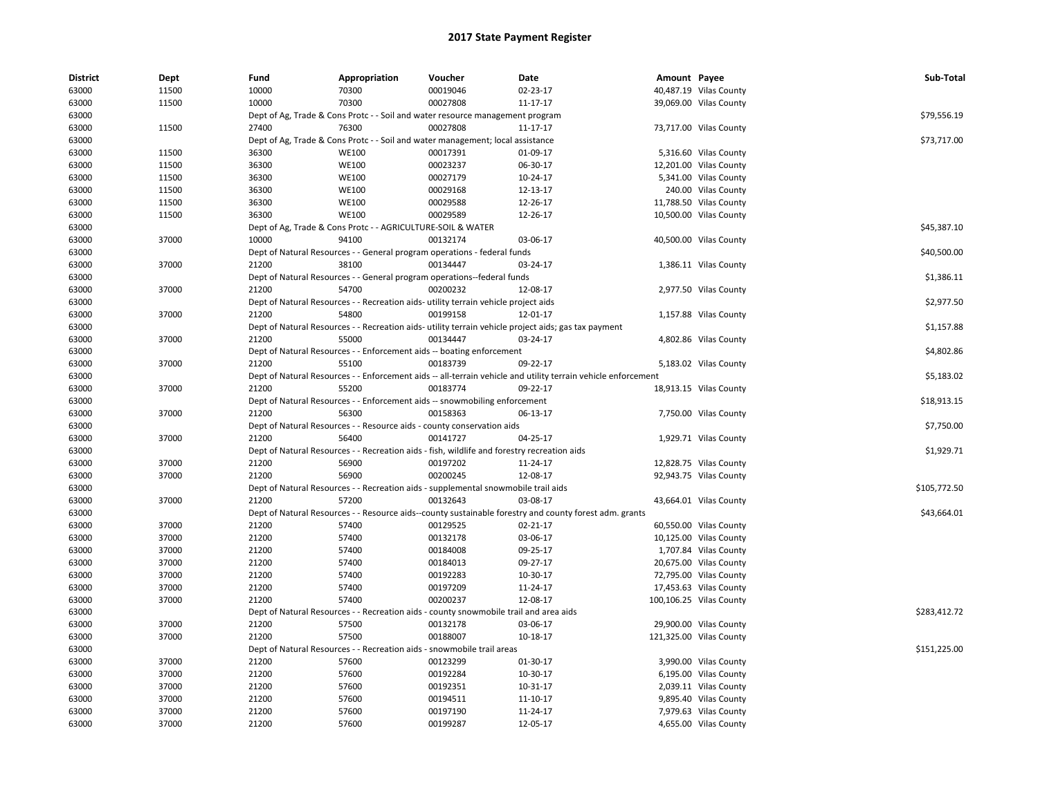| <b>District</b> | Dept  | Fund  | Appropriation                                                                               | Voucher  | Date                                                                                                          | Amount Payee |                         | Sub-Total    |
|-----------------|-------|-------|---------------------------------------------------------------------------------------------|----------|---------------------------------------------------------------------------------------------------------------|--------------|-------------------------|--------------|
| 63000           | 11500 | 10000 | 70300                                                                                       | 00019046 | 02-23-17                                                                                                      |              | 40,487.19 Vilas County  |              |
| 63000           | 11500 | 10000 | 70300                                                                                       | 00027808 | 11-17-17                                                                                                      |              | 39,069.00 Vilas County  |              |
| 63000           |       |       | Dept of Ag, Trade & Cons Protc - - Soil and water resource management program               |          |                                                                                                               |              |                         | \$79,556.19  |
| 63000           | 11500 | 27400 | 76300                                                                                       | 00027808 | 11-17-17                                                                                                      |              | 73,717.00 Vilas County  |              |
| 63000           |       |       | Dept of Ag, Trade & Cons Protc - - Soil and water management; local assistance              |          |                                                                                                               |              |                         | \$73,717.00  |
| 63000           | 11500 | 36300 | <b>WE100</b>                                                                                | 00017391 | 01-09-17                                                                                                      |              | 5,316.60 Vilas County   |              |
| 63000           | 11500 | 36300 | <b>WE100</b>                                                                                | 00023237 | 06-30-17                                                                                                      |              | 12,201.00 Vilas County  |              |
| 63000           | 11500 | 36300 | <b>WE100</b>                                                                                | 00027179 | 10-24-17                                                                                                      |              | 5,341.00 Vilas County   |              |
| 63000           | 11500 | 36300 | <b>WE100</b>                                                                                | 00029168 | 12-13-17                                                                                                      |              | 240.00 Vilas County     |              |
| 63000           | 11500 | 36300 | <b>WE100</b>                                                                                | 00029588 | 12-26-17                                                                                                      |              | 11,788.50 Vilas County  |              |
| 63000           | 11500 | 36300 | <b>WE100</b>                                                                                | 00029589 | 12-26-17                                                                                                      |              | 10,500.00 Vilas County  |              |
| 63000           |       |       | Dept of Ag, Trade & Cons Protc - - AGRICULTURE-SOIL & WATER                                 |          |                                                                                                               |              |                         | \$45,387.10  |
| 63000           | 37000 | 10000 | 94100                                                                                       | 00132174 | 03-06-17                                                                                                      |              | 40,500.00 Vilas County  |              |
| 63000           |       |       | Dept of Natural Resources - - General program operations - federal funds                    |          |                                                                                                               |              |                         | \$40,500.00  |
| 63000           | 37000 | 21200 | 38100                                                                                       | 00134447 | 03-24-17                                                                                                      |              | 1,386.11 Vilas County   |              |
| 63000           |       |       | Dept of Natural Resources - - General program operations--federal funds                     |          |                                                                                                               |              |                         | \$1,386.11   |
| 63000           | 37000 | 21200 | 54700                                                                                       | 00200232 | 12-08-17                                                                                                      |              | 2,977.50 Vilas County   |              |
| 63000           |       |       | Dept of Natural Resources - - Recreation aids- utility terrain vehicle project aids         |          |                                                                                                               |              |                         | \$2,977.50   |
| 63000           | 37000 | 21200 | 54800                                                                                       | 00199158 | 12-01-17                                                                                                      |              | 1,157.88 Vilas County   |              |
| 63000           |       |       |                                                                                             |          | Dept of Natural Resources - - Recreation aids- utility terrain vehicle project aids; gas tax payment          |              |                         | \$1,157.88   |
| 63000           | 37000 | 21200 | 55000                                                                                       | 00134447 | 03-24-17                                                                                                      |              | 4,802.86 Vilas County   |              |
| 63000           |       |       | Dept of Natural Resources - - Enforcement aids -- boating enforcement                       |          |                                                                                                               |              |                         | \$4,802.86   |
| 63000           | 37000 | 21200 | 55100                                                                                       | 00183739 | 09-22-17                                                                                                      |              | 5,183.02 Vilas County   |              |
| 63000           |       |       |                                                                                             |          | Dept of Natural Resources - - Enforcement aids -- all-terrain vehicle and utility terrain vehicle enforcement |              |                         | \$5,183.02   |
| 63000           | 37000 | 21200 | 55200                                                                                       | 00183774 | 09-22-17                                                                                                      |              | 18,913.15 Vilas County  |              |
| 63000           |       |       | Dept of Natural Resources - - Enforcement aids -- snowmobiling enforcement                  |          |                                                                                                               |              |                         | \$18,913.15  |
| 63000           | 37000 | 21200 | 56300                                                                                       | 00158363 | 06-13-17                                                                                                      |              | 7,750.00 Vilas County   |              |
| 63000           |       |       | Dept of Natural Resources - - Resource aids - county conservation aids                      |          |                                                                                                               |              |                         | \$7,750.00   |
| 63000           | 37000 | 21200 | 56400                                                                                       | 00141727 | 04-25-17                                                                                                      |              | 1,929.71 Vilas County   |              |
| 63000           |       |       | Dept of Natural Resources - - Recreation aids - fish, wildlife and forestry recreation aids |          |                                                                                                               |              |                         | \$1,929.71   |
| 63000           | 37000 | 21200 | 56900                                                                                       | 00197202 | 11-24-17                                                                                                      |              | 12,828.75 Vilas County  |              |
| 63000           | 37000 | 21200 | 56900                                                                                       | 00200245 | 12-08-17                                                                                                      |              | 92,943.75 Vilas County  |              |
| 63000           |       |       | Dept of Natural Resources - - Recreation aids - supplemental snowmobile trail aids          |          |                                                                                                               |              |                         | \$105,772.50 |
| 63000           | 37000 | 21200 | 57200                                                                                       | 00132643 | 03-08-17                                                                                                      |              | 43,664.01 Vilas County  |              |
| 63000           |       |       |                                                                                             |          | Dept of Natural Resources - - Resource aids--county sustainable forestry and county forest adm. grants        |              |                         | \$43,664.01  |
| 63000           | 37000 | 21200 | 57400                                                                                       | 00129525 | $02 - 21 - 17$                                                                                                |              | 60,550.00 Vilas County  |              |
| 63000           | 37000 | 21200 | 57400                                                                                       | 00132178 | 03-06-17                                                                                                      |              | 10,125.00 Vilas County  |              |
| 63000           | 37000 | 21200 | 57400                                                                                       | 00184008 | 09-25-17                                                                                                      |              | 1,707.84 Vilas County   |              |
| 63000           | 37000 | 21200 | 57400                                                                                       | 00184013 | 09-27-17                                                                                                      |              | 20,675.00 Vilas County  |              |
| 63000           | 37000 | 21200 | 57400                                                                                       | 00192283 | 10-30-17                                                                                                      |              | 72,795.00 Vilas County  |              |
| 63000           | 37000 | 21200 | 57400                                                                                       | 00197209 | 11-24-17                                                                                                      |              | 17,453.63 Vilas County  |              |
| 63000           | 37000 | 21200 | 57400                                                                                       | 00200237 | 12-08-17                                                                                                      |              | 100,106.25 Vilas County |              |
| 63000           |       |       | Dept of Natural Resources - - Recreation aids - county snowmobile trail and area aids       |          |                                                                                                               |              |                         | \$283,412.72 |
| 63000           | 37000 | 21200 | 57500                                                                                       | 00132178 | 03-06-17                                                                                                      |              | 29,900.00 Vilas County  |              |
| 63000           | 37000 | 21200 | 57500                                                                                       | 00188007 | 10-18-17                                                                                                      |              | 121,325.00 Vilas County |              |
| 63000           |       |       | Dept of Natural Resources - - Recreation aids - snowmobile trail areas                      |          |                                                                                                               |              |                         | \$151,225.00 |
| 63000           | 37000 | 21200 | 57600                                                                                       | 00123299 | 01-30-17                                                                                                      |              | 3,990.00 Vilas County   |              |
| 63000           | 37000 | 21200 | 57600                                                                                       | 00192284 | 10-30-17                                                                                                      |              | 6,195.00 Vilas County   |              |
| 63000           | 37000 | 21200 | 57600                                                                                       | 00192351 |                                                                                                               |              | 2,039.11 Vilas County   |              |
| 63000           | 37000 | 21200 | 57600                                                                                       | 00194511 | 10-31-17<br>11-10-17                                                                                          |              | 9,895.40 Vilas County   |              |
| 63000           | 37000 | 21200 | 57600                                                                                       | 00197190 | 11-24-17                                                                                                      |              | 7,979.63 Vilas County   |              |
|                 | 37000 | 21200 | 57600                                                                                       | 00199287 |                                                                                                               |              |                         |              |
| 63000           |       |       |                                                                                             |          | 12-05-17                                                                                                      |              | 4,655.00 Vilas County   |              |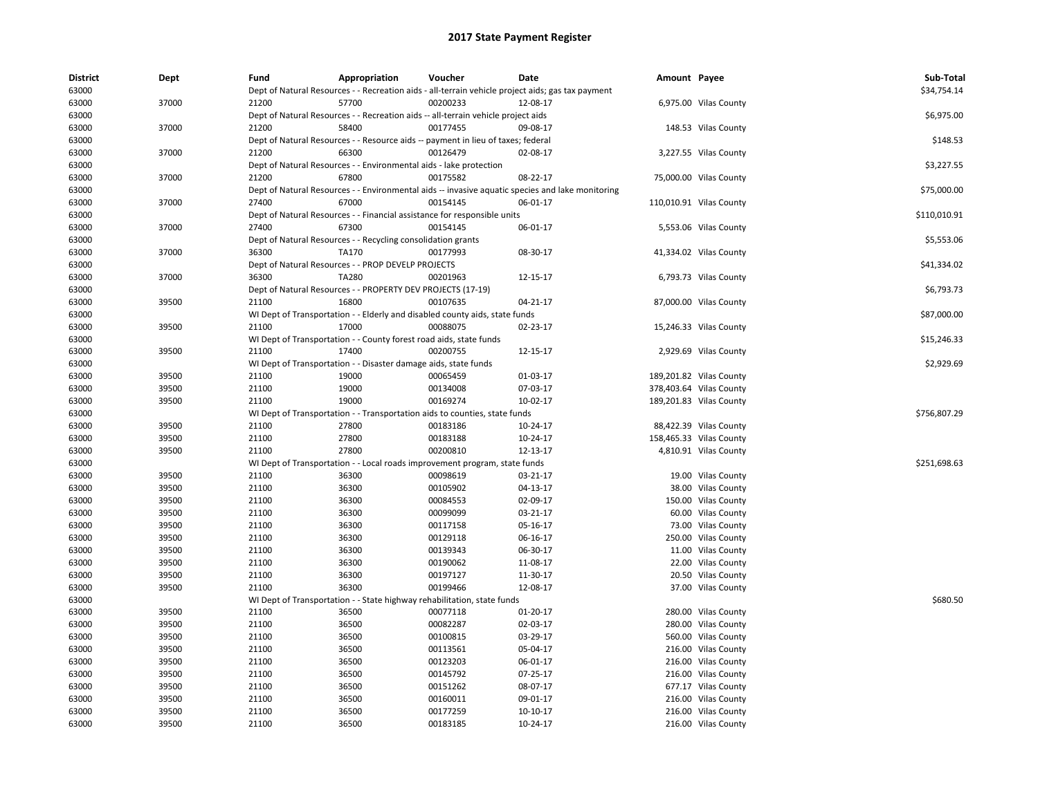| <b>District</b><br>63000 | Dept  | Fund  | Appropriation                                                                       | Voucher  | <b>Date</b>                                                                                       | Amount Payee |                         | Sub-Total<br>\$34,754.14 |
|--------------------------|-------|-------|-------------------------------------------------------------------------------------|----------|---------------------------------------------------------------------------------------------------|--------------|-------------------------|--------------------------|
|                          |       |       |                                                                                     |          | Dept of Natural Resources - - Recreation aids - all-terrain vehicle project aids; gas tax payment |              |                         |                          |
| 63000                    | 37000 | 21200 | 57700                                                                               | 00200233 | 12-08-17                                                                                          |              | 6,975.00 Vilas County   |                          |
| 63000                    |       |       | Dept of Natural Resources - - Recreation aids -- all-terrain vehicle project aids   |          |                                                                                                   |              |                         | \$6,975.00               |
| 63000                    | 37000 | 21200 | 58400                                                                               | 00177455 | 09-08-17                                                                                          |              | 148.53 Vilas County     |                          |
| 63000                    |       |       | Dept of Natural Resources - - Resource aids -- payment in lieu of taxes; federal    |          |                                                                                                   |              |                         | \$148.53                 |
| 63000                    | 37000 | 21200 | 66300                                                                               | 00126479 | 02-08-17                                                                                          |              | 3,227.55 Vilas County   |                          |
| 63000                    |       |       | Dept of Natural Resources - - Environmental aids - lake protection                  |          |                                                                                                   |              |                         | \$3,227.55               |
| 63000                    | 37000 | 21200 | 67800                                                                               | 00175582 | 08-22-17                                                                                          |              | 75,000.00 Vilas County  |                          |
| 63000                    |       |       |                                                                                     |          | Dept of Natural Resources - - Environmental aids -- invasive aguatic species and lake monitoring  |              |                         | \$75,000.00              |
| 63000                    | 37000 | 27400 | 67000                                                                               | 00154145 | 06-01-17                                                                                          |              | 110,010.91 Vilas County |                          |
| 63000                    |       |       | Dept of Natural Resources - - Financial assistance for responsible units            |          |                                                                                                   |              |                         | \$110,010.91             |
| 63000                    | 37000 | 27400 | 67300                                                                               | 00154145 | 06-01-17                                                                                          |              | 5,553.06 Vilas County   |                          |
| 63000                    |       |       | Dept of Natural Resources - - Recycling consolidation grants                        |          |                                                                                                   |              |                         | \$5,553.06               |
| 63000                    | 37000 | 36300 | TA170                                                                               | 00177993 | 08-30-17                                                                                          |              | 41,334.02 Vilas County  |                          |
| 63000                    |       |       | Dept of Natural Resources - - PROP DEVELP PROJECTS                                  |          |                                                                                                   |              |                         | \$41,334.02              |
| 63000                    | 37000 | 36300 | <b>TA280</b>                                                                        | 00201963 | 12-15-17                                                                                          |              | 6,793.73 Vilas County   |                          |
| 63000                    |       |       | Dept of Natural Resources - - PROPERTY DEV PROJECTS (17-19)                         |          |                                                                                                   |              |                         | \$6,793.73               |
| 63000                    | 39500 | 21100 | 16800                                                                               | 00107635 | 04-21-17                                                                                          |              | 87,000.00 Vilas County  |                          |
| 63000                    |       |       | WI Dept of Transportation - - Elderly and disabled county aids, state funds         |          |                                                                                                   |              |                         | \$87,000.00              |
| 63000                    | 39500 | 21100 | 17000                                                                               | 00088075 | 02-23-17                                                                                          |              | 15,246.33 Vilas County  |                          |
| 63000                    |       |       | WI Dept of Transportation - - County forest road aids, state funds                  |          |                                                                                                   |              |                         | \$15,246.33              |
| 63000                    | 39500 | 21100 | 17400                                                                               | 00200755 | 12-15-17                                                                                          |              | 2,929.69 Vilas County   |                          |
| 63000                    |       |       | WI Dept of Transportation - - Disaster damage aids, state funds                     |          |                                                                                                   |              |                         | \$2,929.69               |
| 63000                    | 39500 | 21100 | 19000                                                                               | 00065459 | 01-03-17                                                                                          |              | 189,201.82 Vilas County |                          |
| 63000                    | 39500 | 21100 | 19000                                                                               | 00134008 | 07-03-17                                                                                          |              | 378,403.64 Vilas County |                          |
| 63000                    | 39500 | 21100 | 19000                                                                               | 00169274 | 10-02-17                                                                                          |              | 189,201.83 Vilas County |                          |
|                          |       |       |                                                                                     |          |                                                                                                   |              |                         | \$756,807.29             |
| 63000                    | 39500 |       | WI Dept of Transportation - - Transportation aids to counties, state funds<br>27800 |          |                                                                                                   |              |                         |                          |
| 63000                    |       | 21100 |                                                                                     | 00183186 | 10-24-17                                                                                          |              | 88,422.39 Vilas County  |                          |
| 63000                    | 39500 | 21100 | 27800                                                                               | 00183188 | 10-24-17                                                                                          |              | 158,465.33 Vilas County |                          |
| 63000                    | 39500 | 21100 | 27800                                                                               | 00200810 | 12-13-17                                                                                          |              | 4,810.91 Vilas County   |                          |
| 63000                    |       |       | WI Dept of Transportation - - Local roads improvement program, state funds          |          |                                                                                                   |              |                         | \$251,698.63             |
| 63000                    | 39500 | 21100 | 36300                                                                               | 00098619 | 03-21-17                                                                                          |              | 19.00 Vilas County      |                          |
| 63000                    | 39500 | 21100 | 36300                                                                               | 00105902 | 04-13-17                                                                                          |              | 38.00 Vilas County      |                          |
| 63000                    | 39500 | 21100 | 36300                                                                               | 00084553 | 02-09-17                                                                                          |              | 150.00 Vilas County     |                          |
| 63000                    | 39500 | 21100 | 36300                                                                               | 00099099 | 03-21-17                                                                                          |              | 60.00 Vilas County      |                          |
| 63000                    | 39500 | 21100 | 36300                                                                               | 00117158 | 05-16-17                                                                                          |              | 73.00 Vilas County      |                          |
| 63000                    | 39500 | 21100 | 36300                                                                               | 00129118 | 06-16-17                                                                                          |              | 250.00 Vilas County     |                          |
| 63000                    | 39500 | 21100 | 36300                                                                               | 00139343 | 06-30-17                                                                                          |              | 11.00 Vilas County      |                          |
| 63000                    | 39500 | 21100 | 36300                                                                               | 00190062 | 11-08-17                                                                                          | 22.00        | <b>Vilas County</b>     |                          |
| 63000                    | 39500 | 21100 | 36300                                                                               | 00197127 | 11-30-17                                                                                          |              | 20.50 Vilas County      |                          |
| 63000                    | 39500 | 21100 | 36300                                                                               | 00199466 | 12-08-17                                                                                          |              | 37.00 Vilas County      |                          |
| 63000                    |       |       | WI Dept of Transportation - - State highway rehabilitation, state funds             |          |                                                                                                   |              |                         | \$680.50                 |
| 63000                    | 39500 | 21100 | 36500                                                                               | 00077118 | 01-20-17                                                                                          |              | 280.00 Vilas County     |                          |
| 63000                    | 39500 | 21100 | 36500                                                                               | 00082287 | 02-03-17                                                                                          |              | 280.00 Vilas County     |                          |
| 63000                    | 39500 | 21100 | 36500                                                                               | 00100815 | 03-29-17                                                                                          |              | 560.00 Vilas County     |                          |
| 63000                    | 39500 | 21100 | 36500                                                                               | 00113561 | 05-04-17                                                                                          |              | 216.00 Vilas County     |                          |
| 63000                    | 39500 | 21100 | 36500                                                                               | 00123203 | 06-01-17                                                                                          |              | 216.00 Vilas County     |                          |
| 63000                    | 39500 | 21100 | 36500                                                                               | 00145792 | 07-25-17                                                                                          |              | 216.00 Vilas County     |                          |
| 63000                    | 39500 | 21100 | 36500                                                                               | 00151262 | 08-07-17                                                                                          |              | 677.17 Vilas County     |                          |
| 63000                    | 39500 | 21100 | 36500                                                                               | 00160011 | 09-01-17                                                                                          |              | 216.00 Vilas County     |                          |
| 63000                    | 39500 | 21100 | 36500                                                                               | 00177259 | 10-10-17                                                                                          |              | 216.00 Vilas County     |                          |
| 63000                    | 39500 | 21100 | 36500                                                                               | 00183185 | 10-24-17                                                                                          |              | 216.00 Vilas County     |                          |
|                          |       |       |                                                                                     |          |                                                                                                   |              |                         |                          |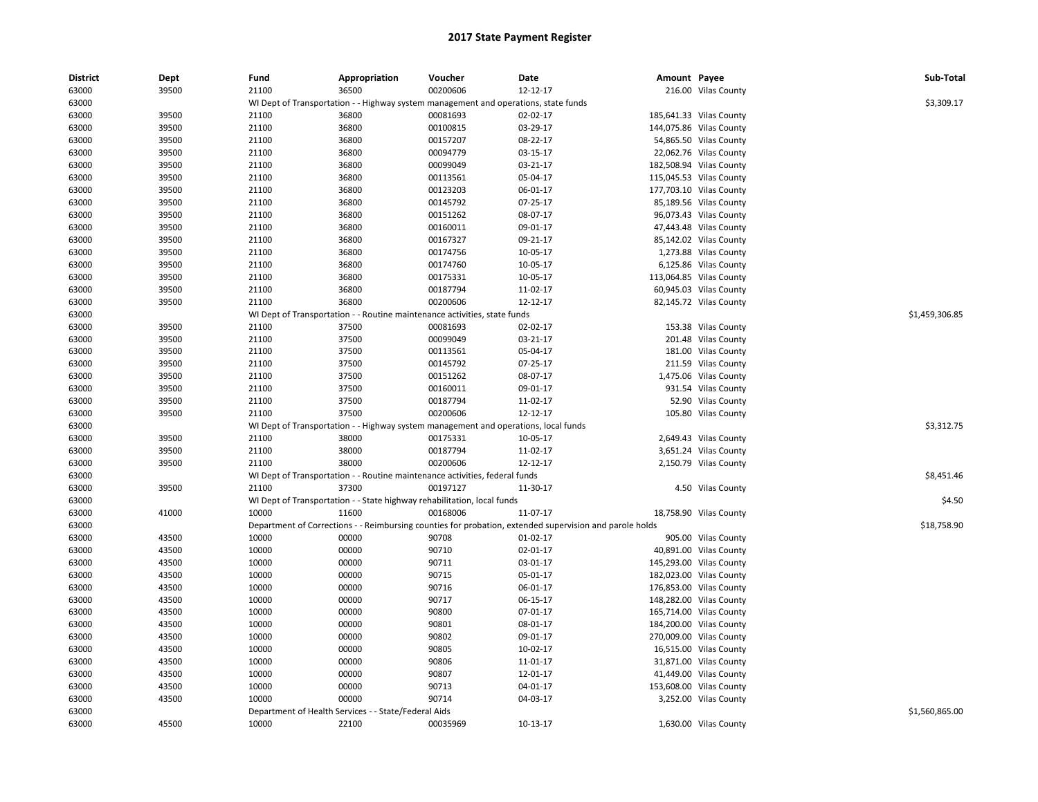| <b>District</b> | Dept  | Fund  | Appropriation                                                                       | Voucher  | Date                                                                                                    | Amount Payee |                         | Sub-Total      |
|-----------------|-------|-------|-------------------------------------------------------------------------------------|----------|---------------------------------------------------------------------------------------------------------|--------------|-------------------------|----------------|
| 63000           | 39500 | 21100 | 36500                                                                               | 00200606 | 12-12-17                                                                                                |              | 216.00 Vilas County     |                |
| 63000           |       |       |                                                                                     |          | WI Dept of Transportation - - Highway system management and operations, state funds                     |              |                         | \$3,309.17     |
| 63000           | 39500 | 21100 | 36800                                                                               | 00081693 | 02-02-17                                                                                                |              | 185,641.33 Vilas County |                |
| 63000           | 39500 | 21100 | 36800                                                                               | 00100815 | 03-29-17                                                                                                |              | 144,075.86 Vilas County |                |
| 63000           | 39500 | 21100 | 36800                                                                               | 00157207 | 08-22-17                                                                                                |              | 54,865.50 Vilas County  |                |
| 63000           | 39500 | 21100 | 36800                                                                               | 00094779 | 03-15-17                                                                                                |              | 22,062.76 Vilas County  |                |
| 63000           | 39500 | 21100 | 36800                                                                               | 00099049 | 03-21-17                                                                                                |              | 182,508.94 Vilas County |                |
| 63000           | 39500 | 21100 | 36800                                                                               | 00113561 | 05-04-17                                                                                                |              | 115,045.53 Vilas County |                |
| 63000           | 39500 | 21100 | 36800                                                                               | 00123203 | 06-01-17                                                                                                |              | 177,703.10 Vilas County |                |
| 63000           | 39500 | 21100 | 36800                                                                               | 00145792 | 07-25-17                                                                                                |              | 85,189.56 Vilas County  |                |
| 63000           | 39500 | 21100 | 36800                                                                               | 00151262 | 08-07-17                                                                                                |              | 96,073.43 Vilas County  |                |
| 63000           | 39500 | 21100 | 36800                                                                               | 00160011 | 09-01-17                                                                                                |              | 47,443.48 Vilas County  |                |
| 63000           | 39500 | 21100 | 36800                                                                               | 00167327 | 09-21-17                                                                                                |              | 85,142.02 Vilas County  |                |
| 63000           | 39500 | 21100 | 36800                                                                               | 00174756 | 10-05-17                                                                                                |              | 1,273.88 Vilas County   |                |
| 63000           | 39500 | 21100 | 36800                                                                               | 00174760 | 10-05-17                                                                                                |              | 6,125.86 Vilas County   |                |
| 63000           | 39500 | 21100 | 36800                                                                               | 00175331 | 10-05-17                                                                                                |              | 113,064.85 Vilas County |                |
| 63000           | 39500 | 21100 | 36800                                                                               | 00187794 | 11-02-17                                                                                                |              | 60,945.03 Vilas County  |                |
| 63000           | 39500 | 21100 | 36800                                                                               | 00200606 | $12 - 12 - 17$                                                                                          |              | 82,145.72 Vilas County  |                |
| 63000           |       |       | WI Dept of Transportation - - Routine maintenance activities, state funds           |          |                                                                                                         |              |                         | \$1,459,306.85 |
| 63000           | 39500 | 21100 | 37500                                                                               | 00081693 | 02-02-17                                                                                                |              | 153.38 Vilas County     |                |
| 63000           | 39500 | 21100 | 37500                                                                               | 00099049 | 03-21-17                                                                                                |              | 201.48 Vilas County     |                |
| 63000           | 39500 | 21100 | 37500                                                                               | 00113561 | 05-04-17                                                                                                |              | 181.00 Vilas County     |                |
| 63000           | 39500 | 21100 | 37500                                                                               | 00145792 | 07-25-17                                                                                                |              | 211.59 Vilas County     |                |
| 63000           | 39500 | 21100 | 37500                                                                               | 00151262 | 08-07-17                                                                                                |              | 1,475.06 Vilas County   |                |
| 63000           | 39500 | 21100 | 37500                                                                               | 00160011 | 09-01-17                                                                                                |              | 931.54 Vilas County     |                |
| 63000           | 39500 | 21100 | 37500                                                                               | 00187794 | 11-02-17                                                                                                |              | 52.90 Vilas County      |                |
| 63000           | 39500 | 21100 | 37500                                                                               | 00200606 | 12-12-17                                                                                                |              | 105.80 Vilas County     |                |
| 63000           |       |       | WI Dept of Transportation - - Highway system management and operations, local funds |          |                                                                                                         |              |                         | \$3,312.75     |
| 63000           | 39500 | 21100 | 38000                                                                               | 00175331 | 10-05-17                                                                                                |              | 2,649.43 Vilas County   |                |
| 63000           | 39500 | 21100 | 38000                                                                               | 00187794 | 11-02-17                                                                                                |              | 3,651.24 Vilas County   |                |
| 63000           | 39500 | 21100 | 38000                                                                               | 00200606 | 12-12-17                                                                                                |              | 2,150.79 Vilas County   |                |
| 63000           |       |       | WI Dept of Transportation - - Routine maintenance activities, federal funds         |          |                                                                                                         |              |                         | \$8,451.46     |
| 63000           | 39500 | 21100 | 37300                                                                               | 00197127 | 11-30-17                                                                                                |              | 4.50 Vilas County       |                |
| 63000           |       |       | WI Dept of Transportation - - State highway rehabilitation, local funds             |          |                                                                                                         |              |                         | \$4.50         |
| 63000           | 41000 | 10000 | 11600                                                                               | 00168006 | 11-07-17                                                                                                |              | 18,758.90 Vilas County  |                |
| 63000           |       |       |                                                                                     |          | Department of Corrections - - Reimbursing counties for probation, extended supervision and parole holds |              |                         | \$18,758.90    |
| 63000           | 43500 | 10000 | 00000                                                                               | 90708    | $01-02-17$                                                                                              |              | 905.00 Vilas County     |                |
| 63000           | 43500 | 10000 | 00000                                                                               | 90710    | 02-01-17                                                                                                |              | 40,891.00 Vilas County  |                |
| 63000           | 43500 | 10000 | 00000                                                                               | 90711    | 03-01-17                                                                                                |              | 145,293.00 Vilas County |                |
| 63000           | 43500 | 10000 | 00000                                                                               | 90715    | 05-01-17                                                                                                |              | 182,023.00 Vilas County |                |
| 63000           | 43500 | 10000 | 00000                                                                               | 90716    | 06-01-17                                                                                                |              | 176,853.00 Vilas County |                |
| 63000           | 43500 | 10000 | 00000                                                                               | 90717    | 06-15-17                                                                                                |              | 148,282.00 Vilas County |                |
| 63000           | 43500 | 10000 | 00000                                                                               | 90800    | 07-01-17                                                                                                |              | 165,714.00 Vilas County |                |
| 63000           | 43500 | 10000 | 00000                                                                               | 90801    | 08-01-17                                                                                                |              | 184,200.00 Vilas County |                |
| 63000           | 43500 | 10000 | 00000                                                                               | 90802    | 09-01-17                                                                                                |              | 270,009.00 Vilas County |                |
| 63000           | 43500 | 10000 | 00000                                                                               | 90805    | 10-02-17                                                                                                |              | 16,515.00 Vilas County  |                |
| 63000           | 43500 | 10000 | 00000                                                                               | 90806    | 11-01-17                                                                                                |              | 31,871.00 Vilas County  |                |
| 63000           | 43500 | 10000 | 00000                                                                               | 90807    | 12-01-17                                                                                                |              | 41,449.00 Vilas County  |                |
| 63000           | 43500 | 10000 | 00000                                                                               | 90713    | 04-01-17                                                                                                |              | 153,608.00 Vilas County |                |
| 63000           | 43500 | 10000 | 00000                                                                               | 90714    | 04-03-17                                                                                                |              | 3,252.00 Vilas County   |                |
| 63000           |       |       | Department of Health Services - - State/Federal Aids                                |          |                                                                                                         |              |                         | \$1,560,865.00 |
| 63000           | 45500 | 10000 | 22100                                                                               | 00035969 | 10-13-17                                                                                                |              | 1,630.00 Vilas County   |                |
|                 |       |       |                                                                                     |          |                                                                                                         |              |                         |                |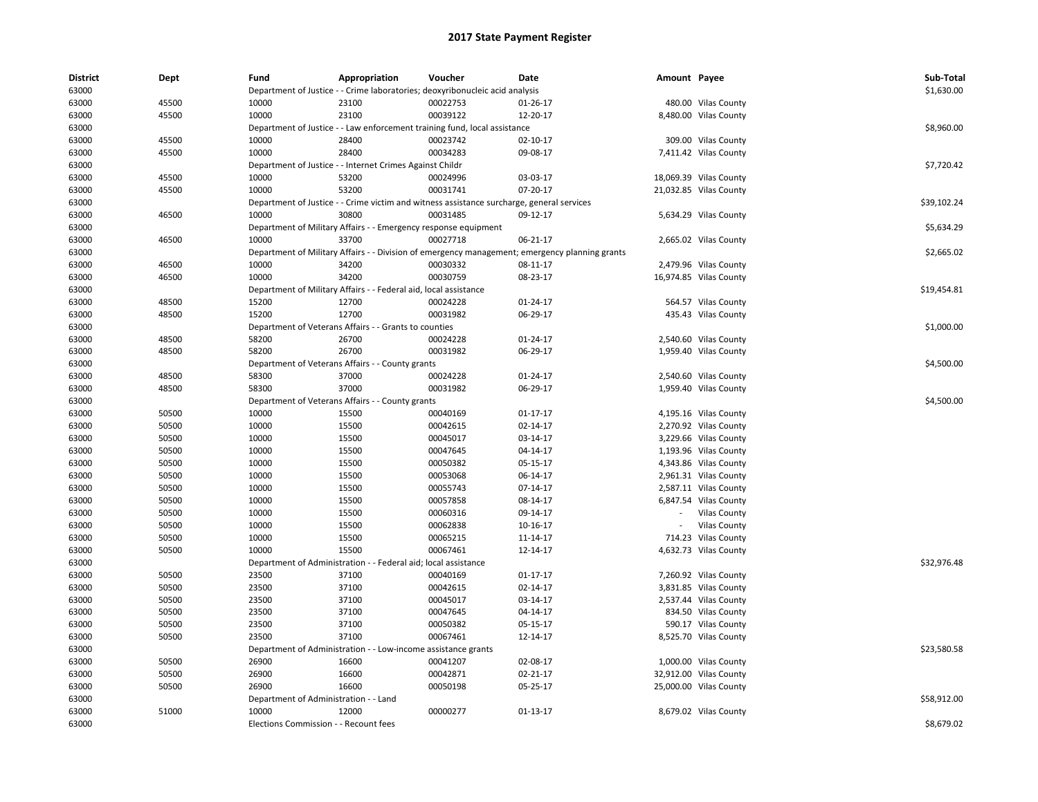| <b>District</b> | Dept  | Fund                                  | Appropriation                                                    | Voucher                                                                                   | Date                                                                                           | Amount Payee |                        | Sub-Total   |
|-----------------|-------|---------------------------------------|------------------------------------------------------------------|-------------------------------------------------------------------------------------------|------------------------------------------------------------------------------------------------|--------------|------------------------|-------------|
| 63000           |       |                                       |                                                                  | Department of Justice - - Crime laboratories; deoxyribonucleic acid analysis              |                                                                                                |              |                        | \$1,630.00  |
| 63000           | 45500 | 10000                                 | 23100                                                            | 00022753                                                                                  | 01-26-17                                                                                       |              | 480.00 Vilas County    |             |
| 63000           | 45500 | 10000                                 | 23100                                                            | 00039122                                                                                  | 12-20-17                                                                                       |              | 8,480.00 Vilas County  |             |
| 63000           |       |                                       |                                                                  | Department of Justice - - Law enforcement training fund, local assistance                 |                                                                                                |              |                        | \$8,960.00  |
| 63000           | 45500 | 10000                                 | 28400                                                            | 00023742                                                                                  | $02 - 10 - 17$                                                                                 |              | 309.00 Vilas County    |             |
| 63000           | 45500 | 10000                                 | 28400                                                            | 00034283                                                                                  | 09-08-17                                                                                       |              | 7,411.42 Vilas County  |             |
| 63000           |       |                                       | Department of Justice - - Internet Crimes Against Childr         |                                                                                           |                                                                                                |              |                        | \$7,720.42  |
| 63000           | 45500 | 10000                                 | 53200                                                            | 00024996                                                                                  | 03-03-17                                                                                       |              | 18,069.39 Vilas County |             |
| 63000           | 45500 | 10000                                 | 53200                                                            | 00031741                                                                                  | 07-20-17                                                                                       |              | 21,032.85 Vilas County |             |
| 63000           |       |                                       |                                                                  | Department of Justice - - Crime victim and witness assistance surcharge, general services |                                                                                                |              |                        | \$39,102.24 |
| 63000           | 46500 | 10000                                 | 30800                                                            | 00031485                                                                                  | 09-12-17                                                                                       |              | 5,634.29 Vilas County  |             |
| 63000           |       |                                       | Department of Military Affairs - - Emergency response equipment  |                                                                                           |                                                                                                |              |                        | \$5,634.29  |
| 63000           | 46500 | 10000                                 | 33700                                                            | 00027718                                                                                  | 06-21-17                                                                                       |              | 2,665.02 Vilas County  |             |
| 63000           |       |                                       |                                                                  |                                                                                           | Department of Military Affairs - - Division of emergency management; emergency planning grants |              |                        | \$2,665.02  |
| 63000           | 46500 | 10000                                 | 34200                                                            | 00030332                                                                                  | 08-11-17                                                                                       |              | 2,479.96 Vilas County  |             |
| 63000           | 46500 | 10000                                 | 34200                                                            | 00030759                                                                                  | 08-23-17                                                                                       |              | 16,974.85 Vilas County |             |
| 63000           |       |                                       | Department of Military Affairs - - Federal aid, local assistance |                                                                                           |                                                                                                |              |                        | \$19,454.81 |
| 63000           | 48500 | 15200                                 | 12700                                                            | 00024228                                                                                  | 01-24-17                                                                                       |              | 564.57 Vilas County    |             |
| 63000           | 48500 | 15200                                 | 12700                                                            | 00031982                                                                                  | 06-29-17                                                                                       |              | 435.43 Vilas County    |             |
| 63000           |       |                                       | Department of Veterans Affairs - - Grants to counties            |                                                                                           |                                                                                                |              |                        | \$1,000.00  |
| 63000           | 48500 | 58200                                 | 26700                                                            | 00024228                                                                                  | 01-24-17                                                                                       |              | 2,540.60 Vilas County  |             |
| 63000           | 48500 | 58200                                 | 26700                                                            | 00031982                                                                                  | 06-29-17                                                                                       |              | 1,959.40 Vilas County  |             |
| 63000           |       |                                       | Department of Veterans Affairs - - County grants                 |                                                                                           |                                                                                                |              |                        | \$4,500.00  |
| 63000           | 48500 | 58300                                 | 37000                                                            | 00024228                                                                                  | 01-24-17                                                                                       |              | 2,540.60 Vilas County  |             |
| 63000           | 48500 | 58300                                 | 37000                                                            | 00031982                                                                                  | 06-29-17                                                                                       |              | 1,959.40 Vilas County  |             |
| 63000           |       |                                       | Department of Veterans Affairs - - County grants                 |                                                                                           |                                                                                                |              |                        | \$4,500.00  |
| 63000           | 50500 | 10000                                 | 15500                                                            | 00040169                                                                                  | 01-17-17                                                                                       |              | 4,195.16 Vilas County  |             |
| 63000           | 50500 | 10000                                 | 15500                                                            | 00042615                                                                                  | 02-14-17                                                                                       |              | 2,270.92 Vilas County  |             |
| 63000           | 50500 | 10000                                 | 15500                                                            | 00045017                                                                                  | 03-14-17                                                                                       |              | 3,229.66 Vilas County  |             |
| 63000           | 50500 | 10000                                 | 15500                                                            | 00047645                                                                                  | 04-14-17                                                                                       |              | 1,193.96 Vilas County  |             |
| 63000           | 50500 | 10000                                 | 15500                                                            | 00050382                                                                                  | 05-15-17                                                                                       |              | 4,343.86 Vilas County  |             |
| 63000           | 50500 | 10000                                 | 15500                                                            | 00053068                                                                                  | 06-14-17                                                                                       |              | 2,961.31 Vilas County  |             |
| 63000           | 50500 | 10000                                 | 15500                                                            | 00055743                                                                                  | 07-14-17                                                                                       |              | 2,587.11 Vilas County  |             |
| 63000           | 50500 | 10000                                 | 15500                                                            | 00057858                                                                                  | 08-14-17                                                                                       |              | 6,847.54 Vilas County  |             |
| 63000           | 50500 | 10000                                 | 15500                                                            | 00060316                                                                                  | 09-14-17                                                                                       |              | <b>Vilas County</b>    |             |
| 63000           | 50500 | 10000                                 | 15500                                                            | 00062838                                                                                  | 10-16-17                                                                                       |              | <b>Vilas County</b>    |             |
| 63000           | 50500 | 10000                                 | 15500                                                            | 00065215                                                                                  | 11-14-17                                                                                       |              | 714.23 Vilas County    |             |
| 63000           | 50500 | 10000                                 | 15500                                                            | 00067461                                                                                  | 12-14-17                                                                                       |              | 4,632.73 Vilas County  |             |
| 63000           |       | Department of Administration          |                                                                  | Federal aid; local assistance                                                             |                                                                                                |              |                        | \$32.976.48 |
| 63000           | 50500 | 23500                                 | 37100                                                            | 00040169                                                                                  | $01 - 17 - 17$                                                                                 |              | 7,260.92 Vilas County  |             |
| 63000           | 50500 | 23500                                 | 37100                                                            | 00042615                                                                                  | 02-14-17                                                                                       |              | 3,831.85 Vilas County  |             |
| 63000           | 50500 | 23500                                 | 37100                                                            | 00045017                                                                                  | 03-14-17                                                                                       |              | 2,537.44 Vilas County  |             |
| 63000           | 50500 | 23500                                 | 37100                                                            | 00047645                                                                                  | 04-14-17                                                                                       |              | 834.50 Vilas County    |             |
| 63000           | 50500 | 23500                                 | 37100                                                            | 00050382                                                                                  | 05-15-17                                                                                       |              | 590.17 Vilas County    |             |
| 63000           | 50500 | 23500                                 | 37100                                                            | 00067461                                                                                  | 12-14-17                                                                                       |              | 8,525.70 Vilas County  |             |
| 63000           |       |                                       | Department of Administration - - Low-income assistance grants    |                                                                                           |                                                                                                |              |                        | \$23,580.58 |
| 63000           | 50500 | 26900                                 | 16600                                                            | 00041207                                                                                  | 02-08-17                                                                                       |              | 1,000.00 Vilas County  |             |
| 63000           | 50500 | 26900                                 | 16600                                                            | 00042871                                                                                  | 02-21-17                                                                                       |              | 32,912.00 Vilas County |             |
| 63000           | 50500 | 26900                                 | 16600                                                            | 00050198                                                                                  | 05-25-17                                                                                       |              | 25,000.00 Vilas County |             |
| 63000           |       | Department of Administration - - Land |                                                                  |                                                                                           |                                                                                                |              |                        | \$58,912.00 |
| 63000           | 51000 | 10000                                 | 12000                                                            | 00000277                                                                                  | $01 - 13 - 17$                                                                                 |              | 8,679.02 Vilas County  |             |
| 63000           |       | Elections Commission - - Recount fees |                                                                  |                                                                                           |                                                                                                |              |                        | \$8,679.02  |
|                 |       |                                       |                                                                  |                                                                                           |                                                                                                |              |                        |             |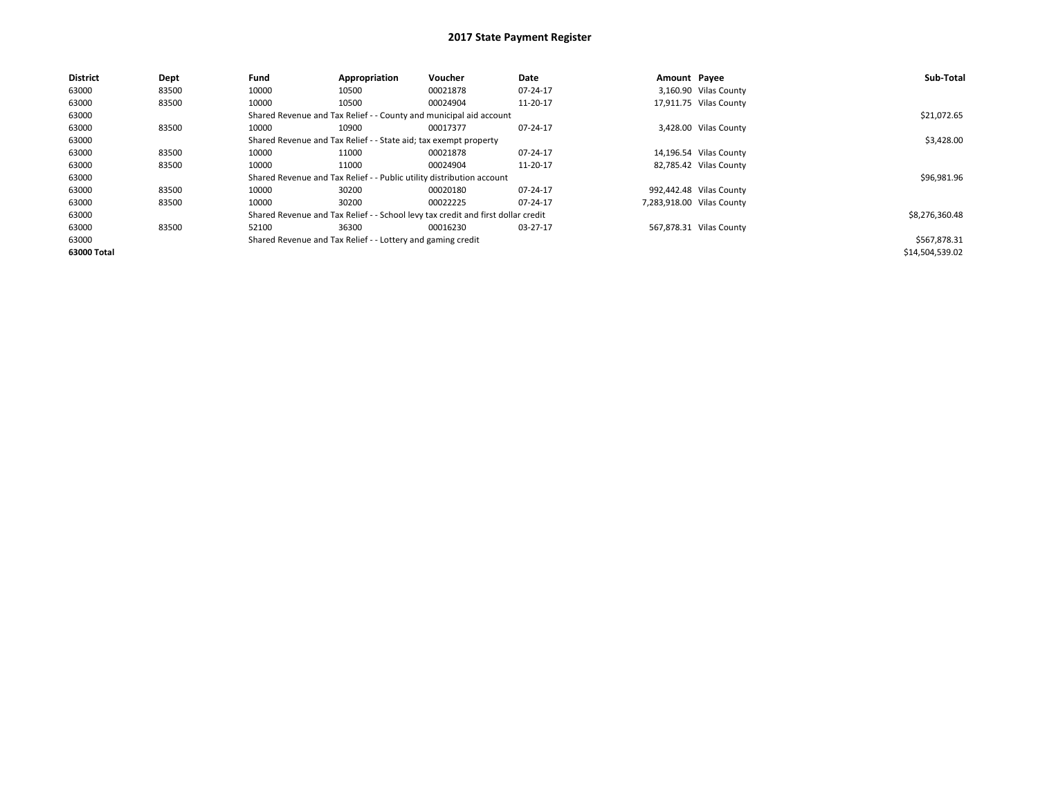| <b>District</b> | Dept  | Fund  | Appropriation                                                         | Voucher                                                                          | Date     | Amount Payee |                           | Sub-Total       |
|-----------------|-------|-------|-----------------------------------------------------------------------|----------------------------------------------------------------------------------|----------|--------------|---------------------------|-----------------|
| 63000           | 83500 | 10000 | 10500                                                                 | 00021878                                                                         | 07-24-17 |              | 3,160.90 Vilas County     |                 |
| 63000           | 83500 | 10000 | 10500                                                                 | 00024904                                                                         | 11-20-17 |              | 17,911.75 Vilas County    |                 |
| 63000           |       |       | Shared Revenue and Tax Relief - - County and municipal aid account    |                                                                                  |          |              |                           | \$21,072.65     |
| 63000           | 83500 | 10000 | 10900                                                                 | 00017377                                                                         | 07-24-17 |              | 3,428.00 Vilas County     |                 |
| 63000           |       |       | Shared Revenue and Tax Relief - - State aid; tax exempt property      |                                                                                  |          |              |                           | \$3,428.00      |
| 63000           | 83500 | 10000 | 11000                                                                 | 00021878                                                                         | 07-24-17 |              | 14,196.54 Vilas County    |                 |
| 63000           | 83500 | 10000 | 11000                                                                 | 00024904                                                                         | 11-20-17 |              | 82,785.42 Vilas County    |                 |
| 63000           |       |       | Shared Revenue and Tax Relief - - Public utility distribution account |                                                                                  |          |              |                           | \$96,981.96     |
| 63000           | 83500 | 10000 | 30200                                                                 | 00020180                                                                         | 07-24-17 |              | 992,442.48 Vilas County   |                 |
| 63000           | 83500 | 10000 | 30200                                                                 | 00022225                                                                         | 07-24-17 |              | 7,283,918.00 Vilas County |                 |
| 63000           |       |       |                                                                       | Shared Revenue and Tax Relief - - School levy tax credit and first dollar credit |          |              |                           | \$8,276,360.48  |
| 63000           | 83500 | 52100 | 36300                                                                 | 00016230                                                                         | 03-27-17 |              | 567,878.31 Vilas County   |                 |
| 63000           |       |       | Shared Revenue and Tax Relief - - Lottery and gaming credit           |                                                                                  |          |              |                           | \$567,878.31    |
| 63000 Total     |       |       |                                                                       |                                                                                  |          |              |                           | \$14,504,539.02 |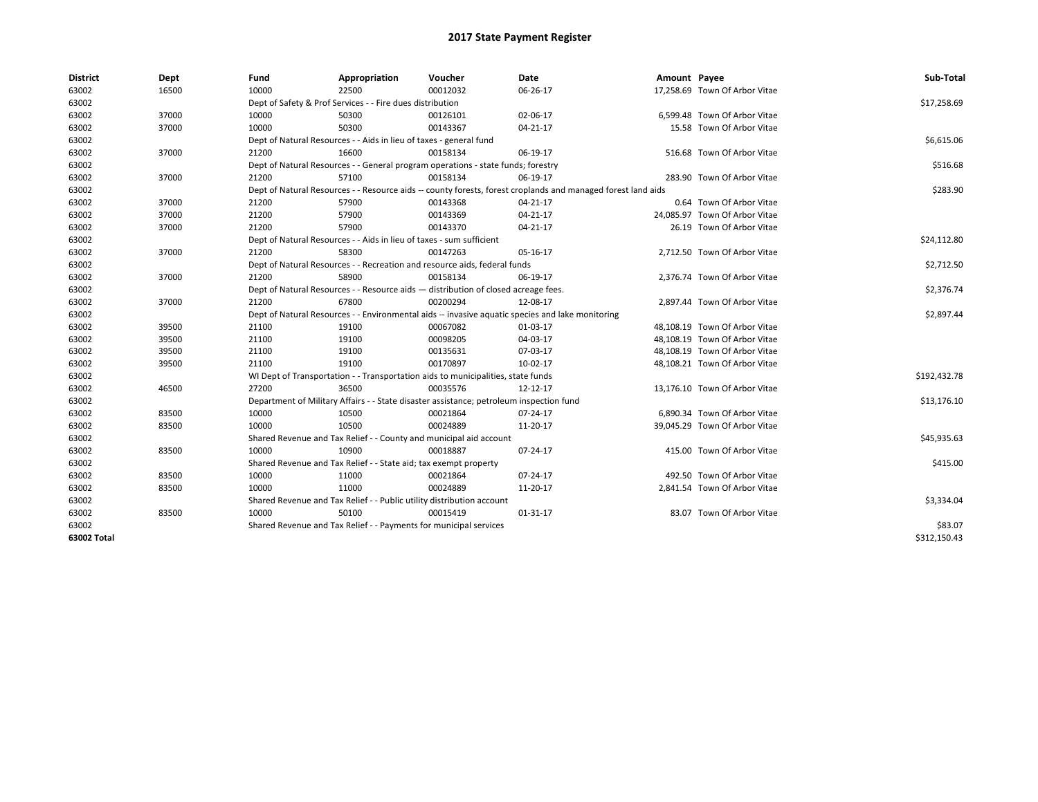| <b>District</b> | Dept  | Fund  | Appropriation                                                                                                | Voucher  | Date                                                                                             | Amount Payee |                               | Sub-Total    |  |  |
|-----------------|-------|-------|--------------------------------------------------------------------------------------------------------------|----------|--------------------------------------------------------------------------------------------------|--------------|-------------------------------|--------------|--|--|
| 63002           | 16500 | 10000 | 22500                                                                                                        | 00012032 | 06-26-17                                                                                         |              | 17,258.69 Town Of Arbor Vitae |              |  |  |
| 63002           |       |       | Dept of Safety & Prof Services - - Fire dues distribution                                                    |          |                                                                                                  |              |                               | \$17,258.69  |  |  |
| 63002           | 37000 | 10000 | 50300                                                                                                        | 00126101 | 02-06-17                                                                                         |              | 6,599.48 Town Of Arbor Vitae  |              |  |  |
| 63002           | 37000 | 10000 | 50300                                                                                                        | 00143367 | 04-21-17                                                                                         |              | 15.58 Town Of Arbor Vitae     |              |  |  |
| 63002           |       |       | Dept of Natural Resources - - Aids in lieu of taxes - general fund                                           |          |                                                                                                  |              |                               | \$6,615.06   |  |  |
| 63002           | 37000 | 21200 | 16600                                                                                                        | 00158134 | 06-19-17                                                                                         |              | 516.68 Town Of Arbor Vitae    |              |  |  |
| 63002           |       |       | Dept of Natural Resources - - General program operations - state funds; forestry                             |          |                                                                                                  |              |                               | \$516.68     |  |  |
| 63002           | 37000 | 21200 | 57100                                                                                                        | 00158134 | 06-19-17                                                                                         |              | 283.90 Town Of Arbor Vitae    |              |  |  |
| 63002           |       |       | Dept of Natural Resources - - Resource aids -- county forests, forest croplands and managed forest land aids |          |                                                                                                  |              |                               |              |  |  |
| 63002           | 37000 | 21200 | 57900                                                                                                        | 00143368 | 04-21-17                                                                                         |              | 0.64 Town Of Arbor Vitae      |              |  |  |
| 63002           | 37000 | 21200 | 57900                                                                                                        | 00143369 | 04-21-17                                                                                         |              | 24,085.97 Town Of Arbor Vitae |              |  |  |
| 63002           | 37000 | 21200 | 57900                                                                                                        | 00143370 | $04 - 21 - 17$                                                                                   |              | 26.19 Town Of Arbor Vitae     |              |  |  |
| 63002           |       |       | Dept of Natural Resources - - Aids in lieu of taxes - sum sufficient                                         |          |                                                                                                  |              |                               |              |  |  |
| 63002           | 37000 | 21200 | 58300                                                                                                        | 00147263 | 05-16-17                                                                                         |              | 2,712.50 Town Of Arbor Vitae  |              |  |  |
| 63002           |       |       | Dept of Natural Resources - - Recreation and resource aids, federal funds                                    |          |                                                                                                  |              |                               | \$2,712.50   |  |  |
| 63002           | 37000 | 21200 | 58900                                                                                                        | 00158134 | 06-19-17                                                                                         |              | 2,376.74 Town Of Arbor Vitae  |              |  |  |
| 63002           |       |       | Dept of Natural Resources - - Resource aids - distribution of closed acreage fees.                           |          |                                                                                                  |              |                               |              |  |  |
| 63002           | 37000 | 21200 | 67800                                                                                                        | 00200294 | 12-08-17                                                                                         |              | 2,897.44 Town Of Arbor Vitae  |              |  |  |
| 63002           |       |       |                                                                                                              |          | Dept of Natural Resources - - Environmental aids -- invasive aquatic species and lake monitoring |              |                               | \$2,897.44   |  |  |
| 63002           | 39500 | 21100 | 19100                                                                                                        | 00067082 | 01-03-17                                                                                         |              | 48,108.19 Town Of Arbor Vitae |              |  |  |
| 63002           | 39500 | 21100 | 19100                                                                                                        | 00098205 | 04-03-17                                                                                         |              | 48,108.19 Town Of Arbor Vitae |              |  |  |
| 63002           | 39500 | 21100 | 19100                                                                                                        | 00135631 | 07-03-17                                                                                         |              | 48,108.19 Town Of Arbor Vitae |              |  |  |
| 63002           | 39500 | 21100 | 19100                                                                                                        | 00170897 | 10-02-17                                                                                         |              | 48,108.21 Town Of Arbor Vitae |              |  |  |
| 63002           |       |       | WI Dept of Transportation - - Transportation aids to municipalities, state funds                             |          |                                                                                                  |              |                               | \$192,432.78 |  |  |
| 63002           | 46500 | 27200 | 36500                                                                                                        | 00035576 | 12-12-17                                                                                         |              | 13,176.10 Town Of Arbor Vitae |              |  |  |
| 63002           |       |       | Department of Military Affairs - - State disaster assistance; petroleum inspection fund                      |          |                                                                                                  |              |                               | \$13,176.10  |  |  |
| 63002           | 83500 | 10000 | 10500                                                                                                        | 00021864 | 07-24-17                                                                                         |              | 6.890.34 Town Of Arbor Vitae  |              |  |  |
| 63002           | 83500 | 10000 | 10500                                                                                                        | 00024889 | 11-20-17                                                                                         |              | 39,045.29 Town Of Arbor Vitae |              |  |  |
| 63002           |       |       | Shared Revenue and Tax Relief - - County and municipal aid account                                           |          |                                                                                                  |              |                               | \$45,935.63  |  |  |
| 63002           | 83500 | 10000 | 10900                                                                                                        | 00018887 | 07-24-17                                                                                         |              | 415.00 Town Of Arbor Vitae    |              |  |  |
| 63002           |       |       | Shared Revenue and Tax Relief - - State aid; tax exempt property                                             |          |                                                                                                  |              |                               | \$415.00     |  |  |
| 63002           | 83500 | 10000 | 11000                                                                                                        | 00021864 | 07-24-17                                                                                         |              | 492.50 Town Of Arbor Vitae    |              |  |  |
| 63002           | 83500 | 10000 | 11000                                                                                                        | 00024889 | 11-20-17                                                                                         |              | 2,841.54 Town Of Arbor Vitae  |              |  |  |
| 63002           |       |       | Shared Revenue and Tax Relief - - Public utility distribution account                                        |          |                                                                                                  |              |                               | \$3,334.04   |  |  |
| 63002           | 83500 | 10000 | 50100                                                                                                        | 00015419 | 01-31-17                                                                                         |              | 83.07 Town Of Arbor Vitae     |              |  |  |
| 63002           |       |       | Shared Revenue and Tax Relief - - Payments for municipal services                                            |          |                                                                                                  |              |                               | \$83.07      |  |  |
| 63002 Total     |       |       |                                                                                                              |          |                                                                                                  |              |                               | \$312.150.43 |  |  |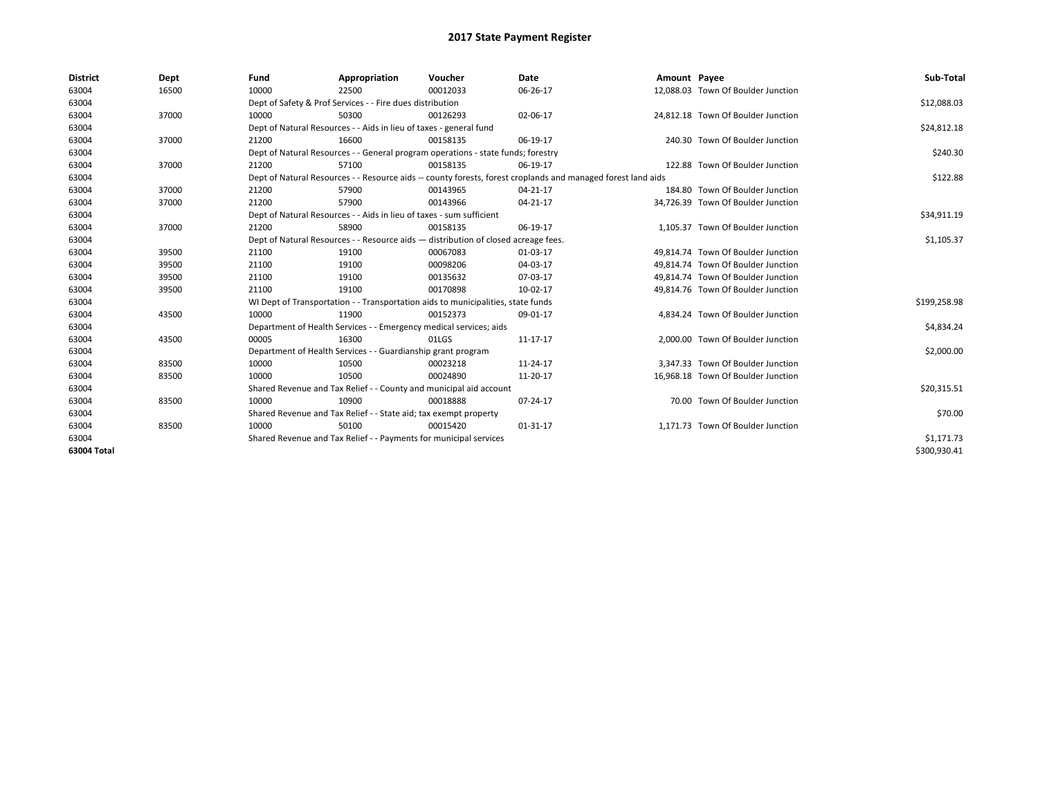| <b>District</b> | Dept  | Fund                                                              | Appropriation                                                                                                | Voucher    | <b>Date</b> | Amount Payee |                                    | Sub-Total    |  |  |
|-----------------|-------|-------------------------------------------------------------------|--------------------------------------------------------------------------------------------------------------|------------|-------------|--------------|------------------------------------|--------------|--|--|
| 63004           | 16500 | 10000                                                             | 22500                                                                                                        | 00012033   | 06-26-17    |              | 12,088.03 Town Of Boulder Junction |              |  |  |
| 63004           |       |                                                                   | Dept of Safety & Prof Services - - Fire dues distribution                                                    |            |             |              |                                    | \$12,088.03  |  |  |
| 63004           | 37000 | 10000                                                             | 50300                                                                                                        | 00126293   | 02-06-17    |              | 24,812.18 Town Of Boulder Junction |              |  |  |
| 63004           |       |                                                                   | Dept of Natural Resources - - Aids in lieu of taxes - general fund                                           |            |             |              |                                    |              |  |  |
| 63004           | 37000 | 21200                                                             | 16600                                                                                                        | 00158135   | 06-19-17    |              | 240.30 Town Of Boulder Junction    |              |  |  |
| 63004           |       |                                                                   | Dept of Natural Resources - - General program operations - state funds; forestry                             |            |             |              |                                    | \$240.30     |  |  |
| 63004           | 37000 | 21200                                                             | 57100                                                                                                        | 00158135   | 06-19-17    |              | 122.88 Town Of Boulder Junction    |              |  |  |
| 63004           |       |                                                                   | Dept of Natural Resources - - Resource aids -- county forests, forest croplands and managed forest land aids |            |             |              |                                    |              |  |  |
| 63004           | 37000 | 21200                                                             | 57900                                                                                                        | 00143965   | 04-21-17    |              | 184.80 Town Of Boulder Junction    |              |  |  |
| 63004           | 37000 | 21200                                                             | 57900                                                                                                        | 00143966   | 04-21-17    |              | 34,726.39 Town Of Boulder Junction |              |  |  |
| 63004           |       |                                                                   | Dept of Natural Resources - - Aids in lieu of taxes - sum sufficient                                         |            |             |              |                                    | \$34,911.19  |  |  |
| 63004           | 37000 | 21200                                                             | 58900                                                                                                        | 00158135   | 06-19-17    |              | 1.105.37 Town Of Boulder Junction  |              |  |  |
| 63004           |       |                                                                   | Dept of Natural Resources - - Resource aids - distribution of closed acreage fees.                           |            |             |              |                                    | \$1,105.37   |  |  |
| 63004           | 39500 | 21100                                                             | 19100                                                                                                        | 00067083   | 01-03-17    |              | 49,814.74 Town Of Boulder Junction |              |  |  |
| 63004           | 39500 | 21100                                                             | 19100                                                                                                        | 00098206   | 04-03-17    |              | 49,814.74 Town Of Boulder Junction |              |  |  |
| 63004           | 39500 | 21100                                                             | 19100                                                                                                        | 00135632   | 07-03-17    |              | 49.814.74 Town Of Boulder Junction |              |  |  |
| 63004           | 39500 | 21100                                                             | 19100                                                                                                        | 00170898   | 10-02-17    |              | 49.814.76 Town Of Boulder Junction |              |  |  |
| 63004           |       |                                                                   | WI Dept of Transportation - - Transportation aids to municipalities, state funds                             |            |             |              |                                    | \$199,258.98 |  |  |
| 63004           | 43500 | 10000                                                             | 11900                                                                                                        | 00152373   | 09-01-17    |              | 4.834.24 Town Of Boulder Junction  |              |  |  |
| 63004           |       |                                                                   | Department of Health Services - - Emergency medical services; aids                                           |            |             |              |                                    | \$4,834.24   |  |  |
| 63004           | 43500 | 00005                                                             | 16300                                                                                                        | 01LGS      | 11-17-17    |              | 2.000.00 Town Of Boulder Junction  |              |  |  |
| 63004           |       |                                                                   | Department of Health Services - - Guardianship grant program                                                 |            |             |              |                                    | \$2,000.00   |  |  |
| 63004           | 83500 | 10000                                                             | 10500                                                                                                        | 00023218   | 11-24-17    |              | 3,347.33 Town Of Boulder Junction  |              |  |  |
| 63004           | 83500 | 10000                                                             | 10500                                                                                                        | 00024890   | 11-20-17    |              | 16,968.18 Town Of Boulder Junction |              |  |  |
| 63004           |       |                                                                   | Shared Revenue and Tax Relief - - County and municipal aid account                                           |            |             |              |                                    | \$20,315.51  |  |  |
| 63004           | 83500 | 10000                                                             | 10900                                                                                                        | 00018888   | 07-24-17    |              | 70.00 Town Of Boulder Junction     |              |  |  |
| 63004           |       |                                                                   | Shared Revenue and Tax Relief - - State aid; tax exempt property                                             |            |             |              |                                    | \$70.00      |  |  |
| 63004           | 83500 | 10000                                                             | 50100                                                                                                        | 00015420   | 01-31-17    |              | 1,171.73 Town Of Boulder Junction  |              |  |  |
| 63004           |       | Shared Revenue and Tax Relief - - Payments for municipal services |                                                                                                              | \$1,171.73 |             |              |                                    |              |  |  |
| 63004 Total     |       |                                                                   |                                                                                                              |            |             |              |                                    | \$300,930.41 |  |  |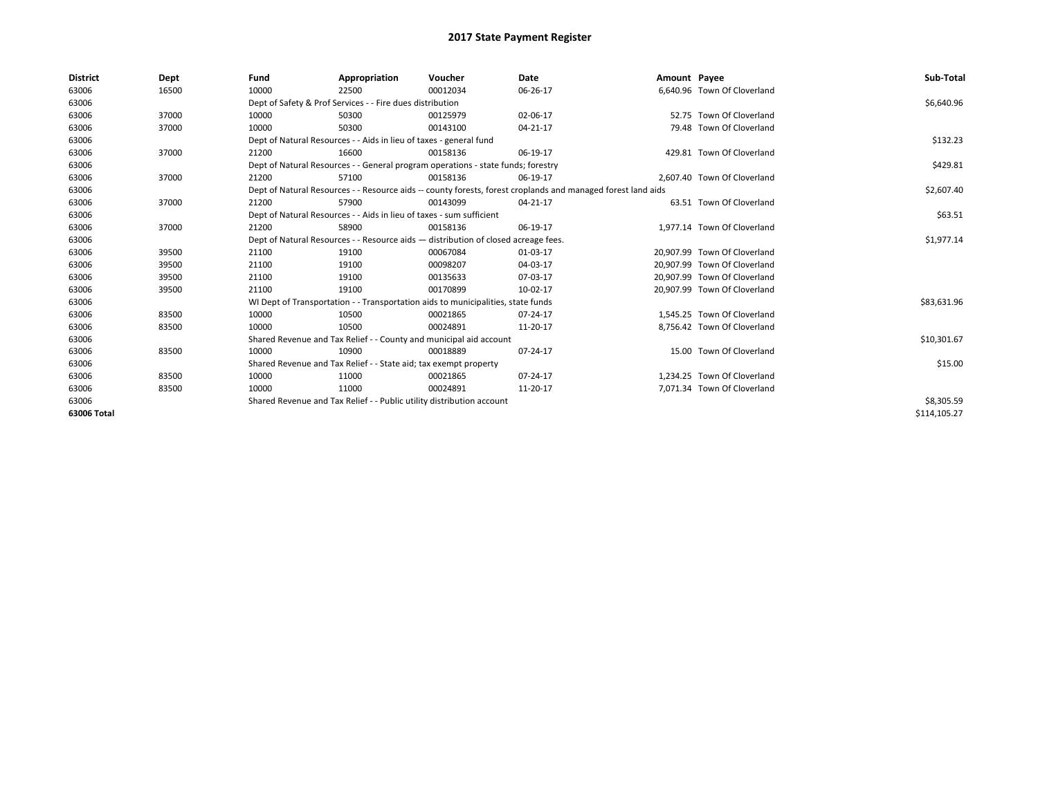| <b>District</b> | Dept  | Fund  | Appropriation                                                                                                | Voucher  | Date       | Amount Payee |                              | Sub-Total    |  |  |  |
|-----------------|-------|-------|--------------------------------------------------------------------------------------------------------------|----------|------------|--------------|------------------------------|--------------|--|--|--|
| 63006           | 16500 | 10000 | 22500                                                                                                        | 00012034 | 06-26-17   |              | 6.640.96 Town Of Cloverland  |              |  |  |  |
| 63006           |       |       | Dept of Safety & Prof Services - - Fire dues distribution                                                    |          |            |              |                              | \$6,640.96   |  |  |  |
| 63006           | 37000 | 10000 | 50300                                                                                                        | 00125979 | 02-06-17   |              | 52.75 Town Of Cloverland     |              |  |  |  |
| 63006           | 37000 | 10000 | 50300                                                                                                        | 00143100 | 04-21-17   |              | 79.48 Town Of Cloverland     |              |  |  |  |
| 63006           |       |       | Dept of Natural Resources - - Aids in lieu of taxes - general fund                                           |          | \$132.23   |              |                              |              |  |  |  |
| 63006           | 37000 | 21200 | 16600                                                                                                        | 00158136 | 06-19-17   |              | 429.81 Town Of Cloverland    |              |  |  |  |
| 63006           |       |       | Dept of Natural Resources - - General program operations - state funds; forestry                             |          | \$429.81   |              |                              |              |  |  |  |
| 63006           | 37000 | 21200 | 57100                                                                                                        | 00158136 | 06-19-17   |              | 2,607.40 Town Of Cloverland  |              |  |  |  |
| 63006           |       |       | Dept of Natural Resources - - Resource aids -- county forests, forest croplands and managed forest land aids |          | \$2,607.40 |              |                              |              |  |  |  |
| 63006           | 37000 | 21200 | 57900                                                                                                        | 00143099 | 04-21-17   |              | 63.51 Town Of Cloverland     |              |  |  |  |
| 63006           |       |       | Dept of Natural Resources - - Aids in lieu of taxes - sum sufficient                                         |          |            |              |                              |              |  |  |  |
| 63006           | 37000 | 21200 | 58900                                                                                                        | 00158136 | 06-19-17   |              | 1,977.14 Town Of Cloverland  |              |  |  |  |
| 63006           |       |       | Dept of Natural Resources - - Resource aids - distribution of closed acreage fees.                           |          |            |              |                              |              |  |  |  |
| 63006           | 39500 | 21100 | 19100                                                                                                        | 00067084 | 01-03-17   |              | 20.907.99 Town Of Cloverland |              |  |  |  |
| 63006           | 39500 | 21100 | 19100                                                                                                        | 00098207 | 04-03-17   |              | 20,907.99 Town Of Cloverland |              |  |  |  |
| 63006           | 39500 | 21100 | 19100                                                                                                        | 00135633 | 07-03-17   |              | 20.907.99 Town Of Cloverland |              |  |  |  |
| 63006           | 39500 | 21100 | 19100                                                                                                        | 00170899 | 10-02-17   |              | 20.907.99 Town Of Cloverland |              |  |  |  |
| 63006           |       |       | WI Dept of Transportation - - Transportation aids to municipalities, state funds                             |          |            |              |                              | \$83,631.96  |  |  |  |
| 63006           | 83500 | 10000 | 10500                                                                                                        | 00021865 | 07-24-17   |              | 1,545.25 Town Of Cloverland  |              |  |  |  |
| 63006           | 83500 | 10000 | 10500                                                                                                        | 00024891 | 11-20-17   |              | 8,756.42 Town Of Cloverland  |              |  |  |  |
| 63006           |       |       | Shared Revenue and Tax Relief - - County and municipal aid account                                           |          |            |              |                              | \$10,301.67  |  |  |  |
| 63006           | 83500 | 10000 | 10900                                                                                                        | 00018889 | 07-24-17   |              | 15.00 Town Of Cloverland     |              |  |  |  |
| 63006           |       |       | Shared Revenue and Tax Relief - - State aid; tax exempt property                                             |          |            |              |                              | \$15.00      |  |  |  |
| 63006           | 83500 | 10000 | 11000                                                                                                        | 00021865 | 07-24-17   |              | 1.234.25 Town Of Cloverland  |              |  |  |  |
| 63006           | 83500 | 10000 | 11000                                                                                                        | 00024891 | 11-20-17   |              | 7,071.34 Town Of Cloverland  |              |  |  |  |
| 63006           |       |       | Shared Revenue and Tax Relief - - Public utility distribution account                                        |          |            |              |                              |              |  |  |  |
| 63006 Total     |       |       |                                                                                                              |          |            |              |                              | \$114,105.27 |  |  |  |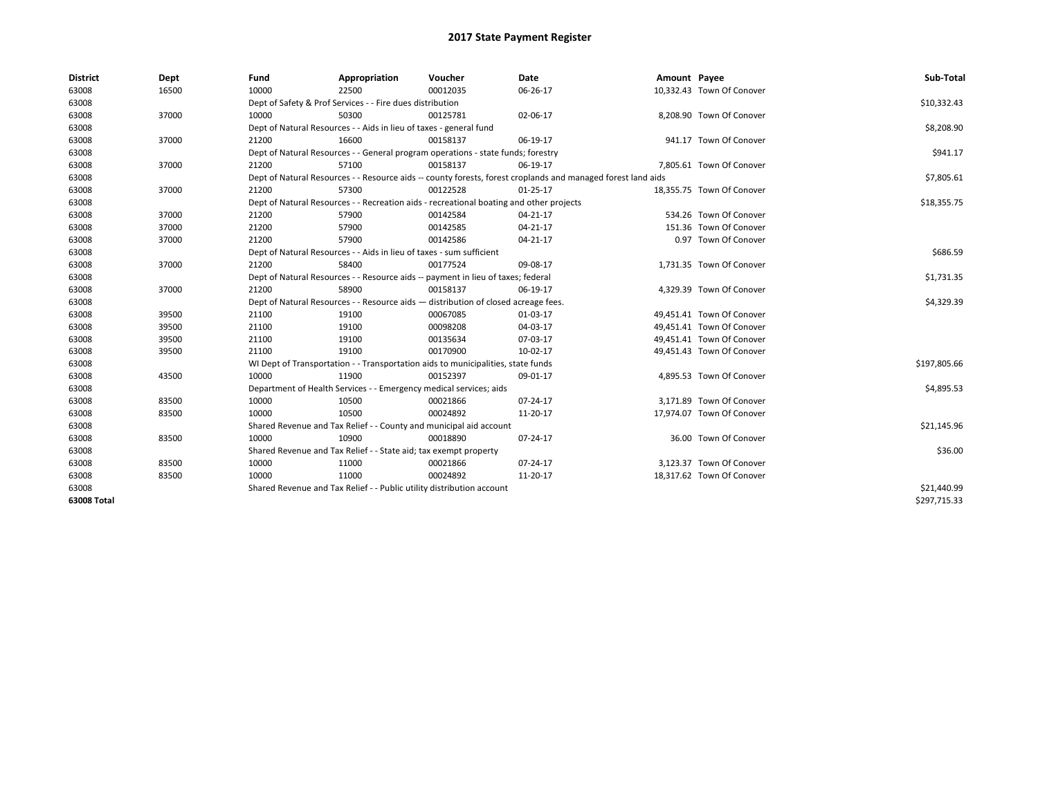| <b>District</b> | Dept  | Fund  | Appropriation                                                                                                | Voucher  | Date           | Amount Payee |                           | Sub-Total    |  |  |  |
|-----------------|-------|-------|--------------------------------------------------------------------------------------------------------------|----------|----------------|--------------|---------------------------|--------------|--|--|--|
| 63008           | 16500 | 10000 | 22500                                                                                                        | 00012035 | 06-26-17       |              | 10,332.43 Town Of Conover |              |  |  |  |
| 63008           |       |       | Dept of Safety & Prof Services - - Fire dues distribution                                                    |          |                |              |                           | \$10,332.43  |  |  |  |
| 63008           | 37000 | 10000 | 50300                                                                                                        | 00125781 | 02-06-17       |              | 8,208.90 Town Of Conover  |              |  |  |  |
| 63008           |       |       | Dept of Natural Resources - - Aids in lieu of taxes - general fund                                           |          |                |              |                           | \$8,208.90   |  |  |  |
| 63008           | 37000 | 21200 | 16600                                                                                                        | 00158137 | 06-19-17       |              | 941.17 Town Of Conover    |              |  |  |  |
| 63008           |       |       | Dept of Natural Resources - - General program operations - state funds; forestry                             |          | \$941.17       |              |                           |              |  |  |  |
| 63008           | 37000 | 21200 | 57100                                                                                                        | 00158137 | 06-19-17       |              | 7,805.61 Town Of Conover  |              |  |  |  |
| 63008           |       |       | Dept of Natural Resources - - Resource aids -- county forests, forest croplands and managed forest land aids |          |                |              |                           |              |  |  |  |
| 63008           | 37000 | 21200 | 57300                                                                                                        | 00122528 | $01 - 25 - 17$ |              | 18,355.75 Town Of Conover |              |  |  |  |
| 63008           |       |       | Dept of Natural Resources - - Recreation aids - recreational boating and other projects                      |          |                |              |                           | \$18,355.75  |  |  |  |
| 63008           | 37000 | 21200 | 57900                                                                                                        | 00142584 | $04 - 21 - 17$ |              | 534.26 Town Of Conover    |              |  |  |  |
| 63008           | 37000 | 21200 | 57900                                                                                                        | 00142585 | 04-21-17       |              | 151.36 Town Of Conover    |              |  |  |  |
| 63008           | 37000 | 21200 | 57900                                                                                                        | 00142586 | 04-21-17       |              | 0.97 Town Of Conover      |              |  |  |  |
| 63008           |       |       | Dept of Natural Resources - - Aids in lieu of taxes - sum sufficient                                         |          |                |              |                           | \$686.59     |  |  |  |
| 63008           | 37000 | 21200 | 58400                                                                                                        | 00177524 | 09-08-17       |              | 1,731.35 Town Of Conover  |              |  |  |  |
| 63008           |       |       | Dept of Natural Resources - - Resource aids -- payment in lieu of taxes; federal                             |          |                |              |                           |              |  |  |  |
| 63008           | 37000 | 21200 | 58900                                                                                                        | 00158137 | 06-19-17       |              | 4,329.39 Town Of Conover  |              |  |  |  |
| 63008           |       |       | Dept of Natural Resources - - Resource aids - distribution of closed acreage fees.                           |          |                |              |                           |              |  |  |  |
| 63008           | 39500 | 21100 | 19100                                                                                                        | 00067085 | 01-03-17       |              | 49,451.41 Town Of Conover |              |  |  |  |
| 63008           | 39500 | 21100 | 19100                                                                                                        | 00098208 | 04-03-17       |              | 49,451.41 Town Of Conover |              |  |  |  |
| 63008           | 39500 | 21100 | 19100                                                                                                        | 00135634 | 07-03-17       |              | 49,451.41 Town Of Conover |              |  |  |  |
| 63008           | 39500 | 21100 | 19100                                                                                                        | 00170900 | 10-02-17       |              | 49,451.43 Town Of Conover |              |  |  |  |
| 63008           |       |       | WI Dept of Transportation - - Transportation aids to municipalities, state funds                             |          |                |              |                           | \$197,805.66 |  |  |  |
| 63008           | 43500 | 10000 | 11900                                                                                                        | 00152397 | 09-01-17       |              | 4,895.53 Town Of Conover  |              |  |  |  |
| 63008           |       |       | Department of Health Services - - Emergency medical services; aids                                           |          |                |              |                           | \$4,895.53   |  |  |  |
| 63008           | 83500 | 10000 | 10500                                                                                                        | 00021866 | 07-24-17       |              | 3,171.89 Town Of Conover  |              |  |  |  |
| 63008           | 83500 | 10000 | 10500                                                                                                        | 00024892 | 11-20-17       |              | 17,974.07 Town Of Conover |              |  |  |  |
| 63008           |       |       | Shared Revenue and Tax Relief - - County and municipal aid account                                           |          |                |              |                           | \$21,145.96  |  |  |  |
| 63008           | 83500 | 10000 | 10900                                                                                                        | 00018890 | 07-24-17       |              | 36.00 Town Of Conover     |              |  |  |  |
| 63008           |       |       | Shared Revenue and Tax Relief - - State aid; tax exempt property                                             |          |                |              |                           | \$36.00      |  |  |  |
| 63008           | 83500 | 10000 | 11000                                                                                                        | 00021866 | 07-24-17       |              | 3,123.37 Town Of Conover  |              |  |  |  |
| 63008           | 83500 | 10000 | 11000                                                                                                        | 00024892 | 11-20-17       |              | 18,317.62 Town Of Conover |              |  |  |  |
| 63008           |       |       | Shared Revenue and Tax Relief - - Public utility distribution account                                        |          |                |              |                           | \$21,440.99  |  |  |  |
| 63008 Total     |       |       |                                                                                                              |          |                |              |                           | \$297,715.33 |  |  |  |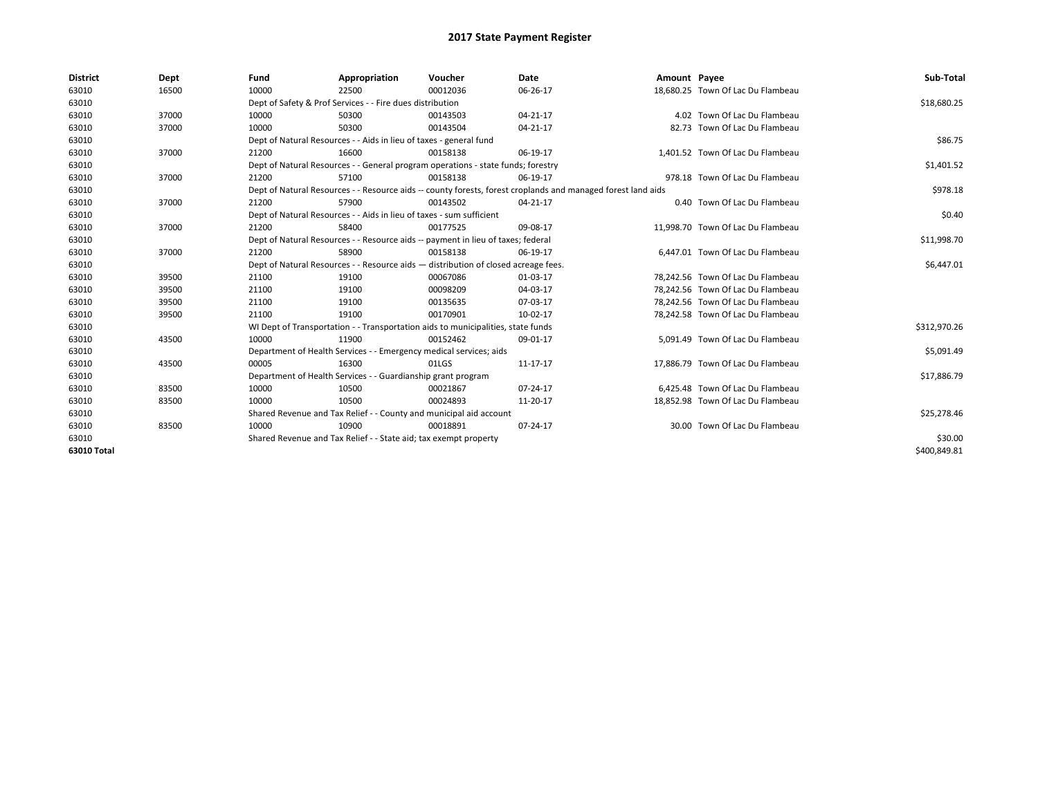| <b>District</b> | Dept  | Fund                                                             | Appropriation                                                                      | Voucher  | Date                                                                                                         | Amount Payee |                                   | Sub-Total    |  |
|-----------------|-------|------------------------------------------------------------------|------------------------------------------------------------------------------------|----------|--------------------------------------------------------------------------------------------------------------|--------------|-----------------------------------|--------------|--|
| 63010           | 16500 | 10000                                                            | 22500                                                                              | 00012036 | 06-26-17                                                                                                     |              | 18,680.25 Town Of Lac Du Flambeau |              |  |
| 63010           |       |                                                                  | Dept of Safety & Prof Services - - Fire dues distribution                          |          |                                                                                                              |              |                                   | \$18,680.25  |  |
| 63010           | 37000 | 10000                                                            | 50300                                                                              | 00143503 | 04-21-17                                                                                                     |              | 4.02 Town Of Lac Du Flambeau      |              |  |
| 63010           | 37000 | 10000                                                            | 50300                                                                              | 00143504 | 04-21-17                                                                                                     |              | 82.73 Town Of Lac Du Flambeau     |              |  |
| 63010           |       |                                                                  | Dept of Natural Resources - - Aids in lieu of taxes - general fund                 |          |                                                                                                              |              |                                   |              |  |
| 63010           | 37000 | 21200                                                            | 16600                                                                              | 00158138 | 06-19-17                                                                                                     |              | 1.401.52 Town Of Lac Du Flambeau  |              |  |
| 63010           |       |                                                                  | Dept of Natural Resources - - General program operations - state funds; forestry   |          |                                                                                                              |              |                                   | \$1,401.52   |  |
| 63010           | 37000 | 21200                                                            | 57100                                                                              | 00158138 | 06-19-17                                                                                                     |              | 978.18 Town Of Lac Du Flambeau    |              |  |
| 63010           |       |                                                                  |                                                                                    |          | Dept of Natural Resources - - Resource aids -- county forests, forest croplands and managed forest land aids |              |                                   | \$978.18     |  |
| 63010           | 37000 | 21200                                                            | 57900                                                                              | 00143502 | 04-21-17                                                                                                     |              | 0.40 Town Of Lac Du Flambeau      |              |  |
| 63010           |       |                                                                  | Dept of Natural Resources - - Aids in lieu of taxes - sum sufficient               |          |                                                                                                              |              |                                   | \$0.40       |  |
| 63010           | 37000 | 21200                                                            | 58400                                                                              | 00177525 | 09-08-17                                                                                                     |              | 11,998.70 Town Of Lac Du Flambeau |              |  |
| 63010           |       |                                                                  | Dept of Natural Resources - - Resource aids -- payment in lieu of taxes; federal   |          |                                                                                                              |              |                                   | \$11,998.70  |  |
| 63010           | 37000 | 21200                                                            | 58900                                                                              | 00158138 | 06-19-17                                                                                                     |              | 6,447.01 Town Of Lac Du Flambeau  |              |  |
| 63010           |       |                                                                  | Dept of Natural Resources - - Resource aids - distribution of closed acreage fees. |          |                                                                                                              |              |                                   | \$6,447.01   |  |
| 63010           | 39500 | 21100                                                            | 19100                                                                              | 00067086 | 01-03-17                                                                                                     |              | 78,242.56 Town Of Lac Du Flambeau |              |  |
| 63010           | 39500 | 21100                                                            | 19100                                                                              | 00098209 | 04-03-17                                                                                                     |              | 78,242.56 Town Of Lac Du Flambeau |              |  |
| 63010           | 39500 | 21100                                                            | 19100                                                                              | 00135635 | 07-03-17                                                                                                     |              | 78,242.56 Town Of Lac Du Flambeau |              |  |
| 63010           | 39500 | 21100                                                            | 19100                                                                              | 00170901 | 10-02-17                                                                                                     |              | 78,242.58 Town Of Lac Du Flambeau |              |  |
| 63010           |       |                                                                  | WI Dept of Transportation - - Transportation aids to municipalities, state funds   |          |                                                                                                              |              |                                   | \$312,970.26 |  |
| 63010           | 43500 | 10000                                                            | 11900                                                                              | 00152462 | 09-01-17                                                                                                     |              | 5,091.49 Town Of Lac Du Flambeau  |              |  |
| 63010           |       |                                                                  | Department of Health Services - - Emergency medical services; aids                 |          |                                                                                                              |              |                                   | \$5,091.49   |  |
| 63010           | 43500 | 00005                                                            | 16300                                                                              | 01LGS    | 11-17-17                                                                                                     |              | 17,886.79 Town Of Lac Du Flambeau |              |  |
| 63010           |       |                                                                  | Department of Health Services - - Guardianship grant program                       |          |                                                                                                              |              |                                   | \$17,886.79  |  |
| 63010           | 83500 | 10000                                                            | 10500                                                                              | 00021867 | 07-24-17                                                                                                     |              | 6.425.48 Town Of Lac Du Flambeau  |              |  |
| 63010           | 83500 | 10000                                                            | 10500                                                                              | 00024893 | 11-20-17                                                                                                     |              | 18,852.98 Town Of Lac Du Flambeau |              |  |
| 63010           |       |                                                                  | Shared Revenue and Tax Relief - - County and municipal aid account                 |          |                                                                                                              |              |                                   | \$25,278.46  |  |
| 63010           | 83500 | 10000                                                            | 10900                                                                              | 00018891 | 07-24-17                                                                                                     |              | 30.00 Town Of Lac Du Flambeau     |              |  |
| 63010           |       | Shared Revenue and Tax Relief - - State aid; tax exempt property |                                                                                    | \$30.00  |                                                                                                              |              |                                   |              |  |
| 63010 Total     |       |                                                                  |                                                                                    |          |                                                                                                              |              |                                   | \$400,849.81 |  |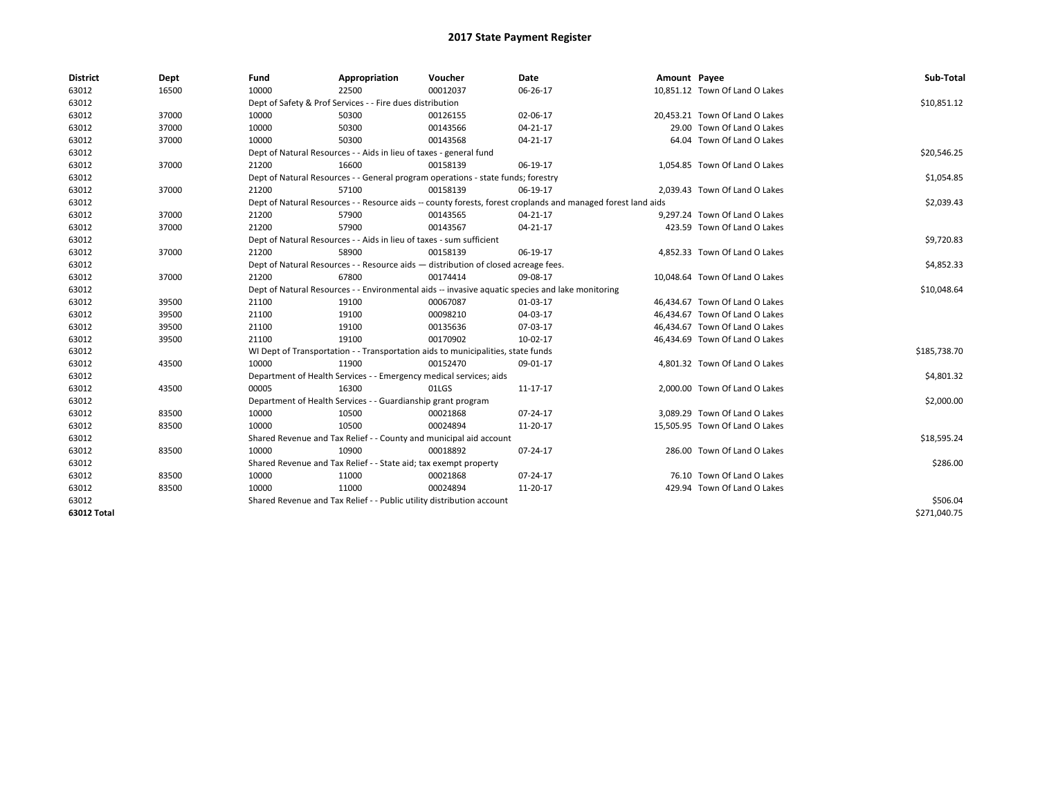| <b>District</b> | Dept  | Fund                                                                                             | Appropriation                                                         | Voucher                                                                            | <b>Date</b>                                                                                                  | Amount Payee |                                | Sub-Total    |
|-----------------|-------|--------------------------------------------------------------------------------------------------|-----------------------------------------------------------------------|------------------------------------------------------------------------------------|--------------------------------------------------------------------------------------------------------------|--------------|--------------------------------|--------------|
| 63012           | 16500 | 10000                                                                                            | 22500                                                                 | 00012037                                                                           | 06-26-17                                                                                                     |              | 10,851.12 Town Of Land O Lakes |              |
| 63012           |       |                                                                                                  | Dept of Safety & Prof Services - - Fire dues distribution             |                                                                                    |                                                                                                              |              |                                | \$10,851.12  |
| 63012           | 37000 | 10000                                                                                            | 50300                                                                 | 00126155                                                                           | 02-06-17                                                                                                     |              | 20,453.21 Town Of Land O Lakes |              |
| 63012           | 37000 | 10000                                                                                            | 50300                                                                 | 00143566                                                                           | 04-21-17                                                                                                     |              | 29.00 Town Of Land O Lakes     |              |
| 63012           | 37000 | 10000                                                                                            | 50300                                                                 | 00143568                                                                           | $04 - 21 - 17$                                                                                               |              | 64.04 Town Of Land O Lakes     |              |
| 63012           |       |                                                                                                  | Dept of Natural Resources - - Aids in lieu of taxes - general fund    |                                                                                    |                                                                                                              |              |                                | \$20,546.25  |
| 63012           | 37000 | 21200                                                                                            | 16600                                                                 | 00158139                                                                           | 06-19-17                                                                                                     |              | 1,054.85 Town Of Land O Lakes  |              |
| 63012           |       |                                                                                                  |                                                                       | Dept of Natural Resources - - General program operations - state funds; forestry   |                                                                                                              |              |                                | \$1,054.85   |
| 63012           | 37000 | 21200                                                                                            | 57100                                                                 | 00158139                                                                           | 06-19-17                                                                                                     |              | 2,039.43 Town Of Land O Lakes  |              |
| 63012           |       |                                                                                                  |                                                                       |                                                                                    | Dept of Natural Resources - - Resource aids -- county forests, forest croplands and managed forest land aids |              |                                | \$2,039.43   |
| 63012           | 37000 | 21200                                                                                            | 57900                                                                 | 00143565                                                                           | 04-21-17                                                                                                     |              | 9,297.24 Town Of Land O Lakes  |              |
| 63012           | 37000 | 21200                                                                                            | 57900                                                                 | 00143567                                                                           | 04-21-17                                                                                                     |              | 423.59 Town Of Land O Lakes    |              |
| 63012           |       |                                                                                                  | Dept of Natural Resources - - Aids in lieu of taxes - sum sufficient  |                                                                                    |                                                                                                              |              |                                | \$9,720.83   |
| 63012           | 37000 | 21200                                                                                            | 58900                                                                 | 00158139                                                                           | 06-19-17                                                                                                     |              | 4,852.33 Town Of Land O Lakes  |              |
| 63012           |       |                                                                                                  |                                                                       | Dept of Natural Resources - - Resource aids - distribution of closed acreage fees. |                                                                                                              |              |                                | \$4,852.33   |
| 63012           | 37000 | 21200                                                                                            | 67800                                                                 | 00174414                                                                           | 09-08-17                                                                                                     |              | 10,048.64 Town Of Land O Lakes |              |
| 63012           |       | Dept of Natural Resources - - Environmental aids -- invasive aquatic species and lake monitoring |                                                                       | \$10,048.64                                                                        |                                                                                                              |              |                                |              |
| 63012           | 39500 | 21100                                                                                            | 19100                                                                 | 00067087                                                                           | 01-03-17                                                                                                     |              | 46,434.67 Town Of Land O Lakes |              |
| 63012           | 39500 | 21100                                                                                            | 19100                                                                 | 00098210                                                                           | 04-03-17                                                                                                     |              | 46,434.67 Town Of Land O Lakes |              |
| 63012           | 39500 | 21100                                                                                            | 19100                                                                 | 00135636                                                                           | 07-03-17                                                                                                     |              | 46,434.67 Town Of Land O Lakes |              |
| 63012           | 39500 | 21100                                                                                            | 19100                                                                 | 00170902                                                                           | 10-02-17                                                                                                     |              | 46,434.69 Town Of Land O Lakes |              |
| 63012           |       |                                                                                                  |                                                                       | WI Dept of Transportation - - Transportation aids to municipalities, state funds   |                                                                                                              |              |                                | \$185,738.70 |
| 63012           | 43500 | 10000                                                                                            | 11900                                                                 | 00152470                                                                           | 09-01-17                                                                                                     |              | 4,801.32 Town Of Land O Lakes  |              |
| 63012           |       |                                                                                                  | Department of Health Services - - Emergency medical services; aids    |                                                                                    |                                                                                                              |              |                                | \$4,801.32   |
| 63012           | 43500 | 00005                                                                                            | 16300                                                                 | 01LGS                                                                              | 11-17-17                                                                                                     |              | 2,000.00 Town Of Land O Lakes  |              |
| 63012           |       |                                                                                                  | Department of Health Services - - Guardianship grant program          |                                                                                    |                                                                                                              |              |                                | \$2,000.00   |
| 63012           | 83500 | 10000                                                                                            | 10500                                                                 | 00021868                                                                           | 07-24-17                                                                                                     |              | 3.089.29 Town Of Land O Lakes  |              |
| 63012           | 83500 | 10000                                                                                            | 10500                                                                 | 00024894                                                                           | 11-20-17                                                                                                     |              | 15,505.95 Town Of Land O Lakes |              |
| 63012           |       |                                                                                                  |                                                                       | Shared Revenue and Tax Relief - - County and municipal aid account                 |                                                                                                              |              |                                | \$18,595.24  |
| 63012           | 83500 | 10000                                                                                            | 10900                                                                 | 00018892                                                                           | 07-24-17                                                                                                     |              | 286.00 Town Of Land O Lakes    |              |
| 63012           |       |                                                                                                  | Shared Revenue and Tax Relief - - State aid; tax exempt property      |                                                                                    |                                                                                                              |              |                                | \$286.00     |
| 63012           | 83500 | 10000                                                                                            | 11000                                                                 | 00021868                                                                           | 07-24-17                                                                                                     |              | 76.10 Town Of Land O Lakes     |              |
| 63012           | 83500 | 10000                                                                                            | 11000                                                                 | 00024894                                                                           | 11-20-17                                                                                                     |              | 429.94 Town Of Land O Lakes    |              |
| 63012           |       |                                                                                                  | Shared Revenue and Tax Relief - - Public utility distribution account |                                                                                    |                                                                                                              |              |                                | \$506.04     |
| 63012 Total     |       |                                                                                                  |                                                                       |                                                                                    |                                                                                                              |              |                                | \$271,040.75 |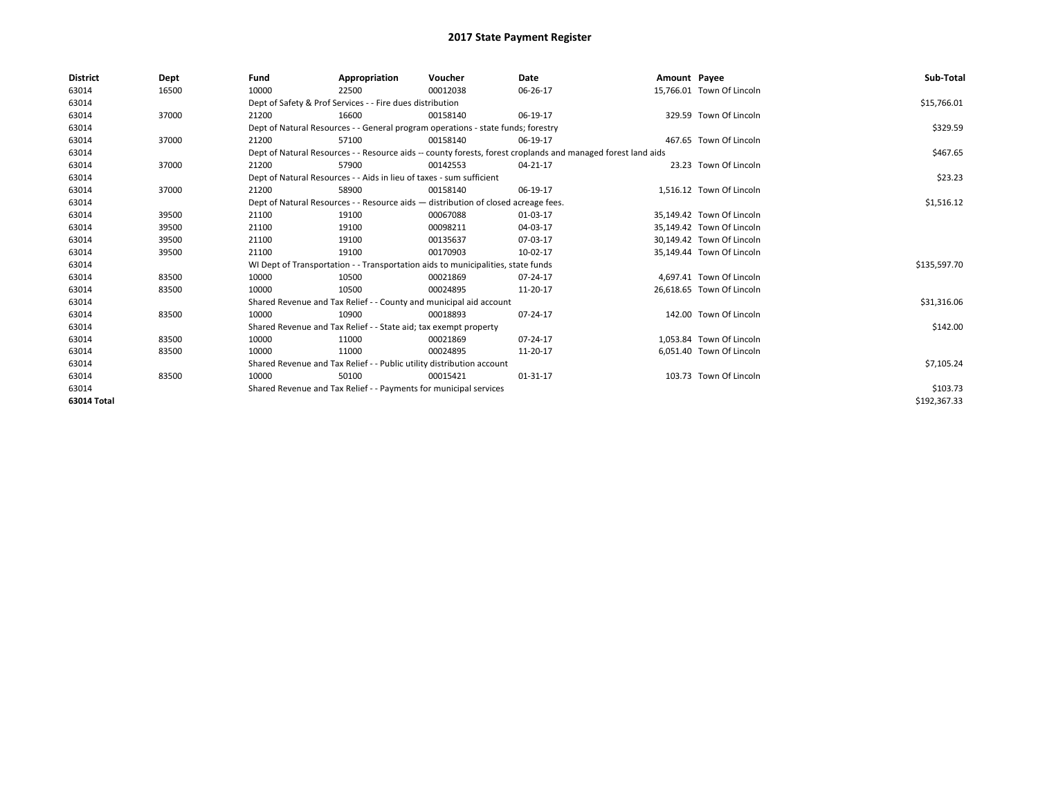| <b>District</b> | Dept  | Fund  | Appropriation                                                                                                | Voucher  | Date           | Amount Payee |                           | Sub-Total    |  |  |
|-----------------|-------|-------|--------------------------------------------------------------------------------------------------------------|----------|----------------|--------------|---------------------------|--------------|--|--|
| 63014           | 16500 | 10000 | 22500                                                                                                        | 00012038 | 06-26-17       |              | 15.766.01 Town Of Lincoln |              |  |  |
| 63014           |       |       | Dept of Safety & Prof Services - - Fire dues distribution                                                    |          |                |              |                           | \$15,766.01  |  |  |
| 63014           | 37000 | 21200 | 16600                                                                                                        | 00158140 | 06-19-17       |              | 329.59 Town Of Lincoln    |              |  |  |
| 63014           |       |       | Dept of Natural Resources - - General program operations - state funds; forestry                             |          |                |              |                           | \$329.59     |  |  |
| 63014           | 37000 | 21200 | 57100                                                                                                        | 00158140 | 06-19-17       |              | 467.65 Town Of Lincoln    |              |  |  |
| 63014           |       |       | Dept of Natural Resources - - Resource aids -- county forests, forest croplands and managed forest land aids |          | \$467.65       |              |                           |              |  |  |
| 63014           | 37000 | 21200 | 57900                                                                                                        | 00142553 | 04-21-17       |              | 23.23 Town Of Lincoln     |              |  |  |
| 63014           |       |       | Dept of Natural Resources - - Aids in lieu of taxes - sum sufficient                                         |          | \$23.23        |              |                           |              |  |  |
| 63014           | 37000 | 21200 | 58900                                                                                                        | 00158140 | 06-19-17       |              | 1,516.12 Town Of Lincoln  |              |  |  |
| 63014           |       |       | Dept of Natural Resources - - Resource aids - distribution of closed acreage fees.                           |          |                |              |                           | \$1,516.12   |  |  |
| 63014           | 39500 | 21100 | 19100                                                                                                        | 00067088 | 01-03-17       |              | 35,149.42 Town Of Lincoln |              |  |  |
| 63014           | 39500 | 21100 | 19100                                                                                                        | 00098211 | 04-03-17       |              | 35,149.42 Town Of Lincoln |              |  |  |
| 63014           | 39500 | 21100 | 19100                                                                                                        | 00135637 | 07-03-17       |              | 30,149.42 Town Of Lincoln |              |  |  |
| 63014           | 39500 | 21100 | 19100                                                                                                        | 00170903 | 10-02-17       |              | 35,149.44 Town Of Lincoln |              |  |  |
| 63014           |       |       | WI Dept of Transportation - - Transportation aids to municipalities, state funds                             |          |                |              |                           | \$135,597.70 |  |  |
| 63014           | 83500 | 10000 | 10500                                                                                                        | 00021869 | 07-24-17       |              | 4,697.41 Town Of Lincoln  |              |  |  |
| 63014           | 83500 | 10000 | 10500                                                                                                        | 00024895 | 11-20-17       |              | 26,618.65 Town Of Lincoln |              |  |  |
| 63014           |       |       | Shared Revenue and Tax Relief - - County and municipal aid account                                           |          |                |              |                           | \$31,316.06  |  |  |
| 63014           | 83500 | 10000 | 10900                                                                                                        | 00018893 | $07 - 24 - 17$ |              | 142.00 Town Of Lincoln    |              |  |  |
| 63014           |       |       | Shared Revenue and Tax Relief - - State aid; tax exempt property                                             |          |                |              |                           | \$142.00     |  |  |
| 63014           | 83500 | 10000 | 11000                                                                                                        | 00021869 | 07-24-17       |              | 1,053.84 Town Of Lincoln  |              |  |  |
| 63014           | 83500 | 10000 | 11000                                                                                                        | 00024895 | 11-20-17       |              | 6,051.40 Town Of Lincoln  |              |  |  |
| 63014           |       |       | Shared Revenue and Tax Relief - - Public utility distribution account                                        |          |                |              |                           |              |  |  |
| 63014           | 83500 | 10000 | 50100                                                                                                        | 00015421 | 01-31-17       |              | 103.73 Town Of Lincoln    |              |  |  |
| 63014           |       |       | Shared Revenue and Tax Relief - - Payments for municipal services                                            |          |                |              |                           |              |  |  |
| 63014 Total     |       |       |                                                                                                              |          |                |              |                           | \$192,367.33 |  |  |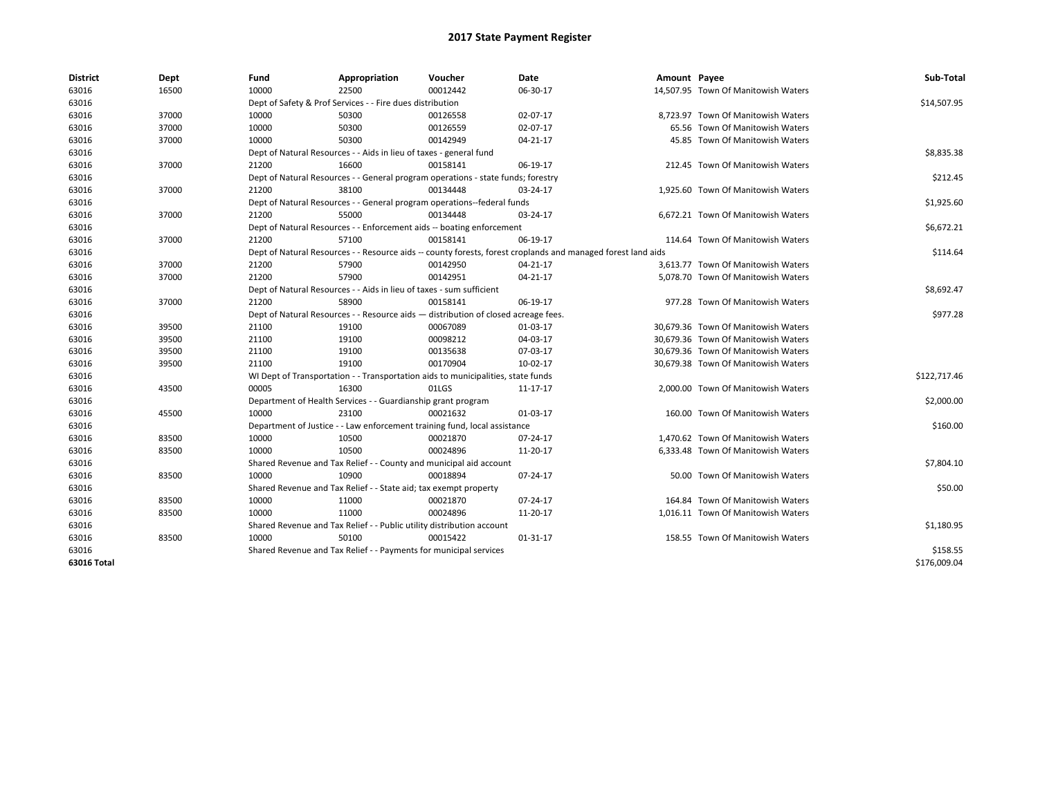| <b>District</b> | Dept  | Fund  | Appropriation                                                                      | Voucher  | Date                                                                                                         | Amount Payee |                                     | Sub-Total    |
|-----------------|-------|-------|------------------------------------------------------------------------------------|----------|--------------------------------------------------------------------------------------------------------------|--------------|-------------------------------------|--------------|
| 63016           | 16500 | 10000 | 22500                                                                              | 00012442 | 06-30-17                                                                                                     |              | 14,507.95 Town Of Manitowish Waters |              |
| 63016           |       |       | Dept of Safety & Prof Services - - Fire dues distribution                          |          |                                                                                                              |              |                                     | \$14,507.95  |
| 63016           | 37000 | 10000 | 50300                                                                              | 00126558 | 02-07-17                                                                                                     |              | 8,723.97 Town Of Manitowish Waters  |              |
| 63016           | 37000 | 10000 | 50300                                                                              | 00126559 | 02-07-17                                                                                                     |              | 65.56 Town Of Manitowish Waters     |              |
| 63016           | 37000 | 10000 | 50300                                                                              | 00142949 | $04 - 21 - 17$                                                                                               |              | 45.85 Town Of Manitowish Waters     |              |
| 63016           |       |       | Dept of Natural Resources - - Aids in lieu of taxes - general fund                 |          |                                                                                                              |              |                                     | \$8,835.38   |
| 63016           | 37000 | 21200 | 16600                                                                              | 00158141 | 06-19-17                                                                                                     |              | 212.45 Town Of Manitowish Waters    |              |
| 63016           |       |       | Dept of Natural Resources - - General program operations - state funds; forestry   |          |                                                                                                              |              |                                     | \$212.45     |
| 63016           | 37000 | 21200 | 38100                                                                              | 00134448 | 03-24-17                                                                                                     |              | 1,925.60 Town Of Manitowish Waters  |              |
| 63016           |       |       | Dept of Natural Resources - - General program operations--federal funds            |          |                                                                                                              |              |                                     | \$1,925.60   |
| 63016           | 37000 | 21200 | 55000                                                                              | 00134448 | 03-24-17                                                                                                     |              | 6,672.21 Town Of Manitowish Waters  |              |
| 63016           |       |       | Dept of Natural Resources - - Enforcement aids -- boating enforcement              |          |                                                                                                              |              |                                     | \$6,672.21   |
| 63016           | 37000 | 21200 | 57100                                                                              | 00158141 | 06-19-17                                                                                                     |              | 114.64 Town Of Manitowish Waters    |              |
| 63016           |       |       |                                                                                    |          | Dept of Natural Resources - - Resource aids -- county forests, forest croplands and managed forest land aids |              |                                     | \$114.64     |
| 63016           | 37000 | 21200 | 57900                                                                              | 00142950 | 04-21-17                                                                                                     |              | 3,613.77 Town Of Manitowish Waters  |              |
| 63016           | 37000 | 21200 | 57900                                                                              | 00142951 | 04-21-17                                                                                                     |              | 5,078.70 Town Of Manitowish Waters  |              |
| 63016           |       |       | Dept of Natural Resources - - Aids in lieu of taxes - sum sufficient               |          |                                                                                                              |              |                                     | \$8,692.47   |
| 63016           | 37000 | 21200 | 58900                                                                              | 00158141 | 06-19-17                                                                                                     |              | 977.28 Town Of Manitowish Waters    |              |
| 63016           |       |       | Dept of Natural Resources - - Resource aids - distribution of closed acreage fees. |          |                                                                                                              |              |                                     | \$977.28     |
| 63016           | 39500 | 21100 | 19100                                                                              | 00067089 | 01-03-17                                                                                                     |              | 30,679.36 Town Of Manitowish Waters |              |
| 63016           | 39500 | 21100 | 19100                                                                              | 00098212 | 04-03-17                                                                                                     |              | 30,679.36 Town Of Manitowish Waters |              |
| 63016           | 39500 | 21100 | 19100                                                                              | 00135638 | 07-03-17                                                                                                     |              | 30,679.36 Town Of Manitowish Waters |              |
| 63016           | 39500 | 21100 | 19100                                                                              | 00170904 | 10-02-17                                                                                                     |              | 30,679.38 Town Of Manitowish Waters |              |
| 63016           |       |       | WI Dept of Transportation - - Transportation aids to municipalities, state funds   |          |                                                                                                              |              |                                     | \$122,717.46 |
| 63016           | 43500 | 00005 | 16300                                                                              | 01LGS    | 11-17-17                                                                                                     |              | 2,000.00 Town Of Manitowish Waters  |              |
| 63016           |       |       | Department of Health Services - - Guardianship grant program                       |          |                                                                                                              |              |                                     | \$2,000.00   |
| 63016           | 45500 | 10000 | 23100                                                                              | 00021632 | 01-03-17                                                                                                     |              | 160.00 Town Of Manitowish Waters    |              |
| 63016           |       |       | Department of Justice - - Law enforcement training fund, local assistance          |          |                                                                                                              |              |                                     | \$160.00     |
| 63016           | 83500 | 10000 | 10500                                                                              | 00021870 | 07-24-17                                                                                                     |              | 1,470.62 Town Of Manitowish Waters  |              |
| 63016           | 83500 | 10000 | 10500                                                                              | 00024896 | 11-20-17                                                                                                     |              | 6,333.48 Town Of Manitowish Waters  |              |
| 63016           |       |       | Shared Revenue and Tax Relief - - County and municipal aid account                 |          |                                                                                                              |              |                                     | \$7,804.10   |
| 63016           | 83500 | 10000 | 10900                                                                              | 00018894 | 07-24-17                                                                                                     |              | 50.00 Town Of Manitowish Waters     |              |
| 63016           |       |       | Shared Revenue and Tax Relief - - State aid; tax exempt property                   |          |                                                                                                              |              |                                     | \$50.00      |
| 63016           | 83500 | 10000 | 11000                                                                              | 00021870 | 07-24-17                                                                                                     |              | 164.84 Town Of Manitowish Waters    |              |
| 63016           | 83500 | 10000 | 11000                                                                              | 00024896 | 11-20-17                                                                                                     |              | 1,016.11 Town Of Manitowish Waters  |              |
| 63016           |       |       | Shared Revenue and Tax Relief - - Public utility distribution account              |          |                                                                                                              |              |                                     | \$1,180.95   |
| 63016           | 83500 | 10000 | 50100                                                                              | 00015422 | 01-31-17                                                                                                     |              | 158.55 Town Of Manitowish Waters    |              |
| 63016           |       |       | Shared Revenue and Tax Relief - - Payments for municipal services                  |          |                                                                                                              |              |                                     | \$158.55     |
| 63016 Total     |       |       |                                                                                    |          |                                                                                                              |              |                                     | \$176,009.04 |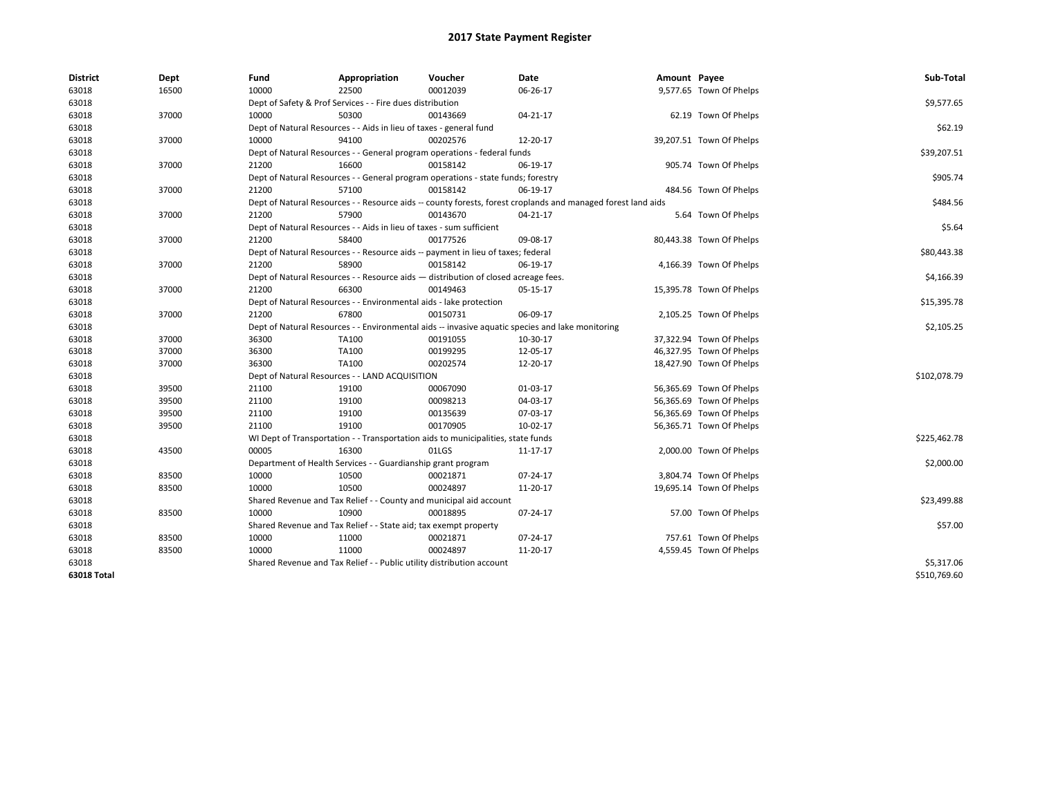| <b>District</b>    | Dept  | Fund  | Appropriation                                                                      | Voucher  | Date                                                                                                         | Amount Payee |                          | Sub-Total    |
|--------------------|-------|-------|------------------------------------------------------------------------------------|----------|--------------------------------------------------------------------------------------------------------------|--------------|--------------------------|--------------|
| 63018              | 16500 | 10000 | 22500                                                                              | 00012039 | 06-26-17                                                                                                     |              | 9,577.65 Town Of Phelps  |              |
| 63018              |       |       | Dept of Safety & Prof Services - - Fire dues distribution                          |          |                                                                                                              |              |                          | \$9,577.65   |
| 63018              | 37000 | 10000 | 50300                                                                              | 00143669 | 04-21-17                                                                                                     |              | 62.19 Town Of Phelps     |              |
| 63018              |       |       | Dept of Natural Resources - - Aids in lieu of taxes - general fund                 |          |                                                                                                              |              |                          | \$62.19      |
| 63018              | 37000 | 10000 | 94100                                                                              | 00202576 | 12-20-17                                                                                                     |              | 39,207.51 Town Of Phelps |              |
| 63018              |       |       | Dept of Natural Resources - - General program operations - federal funds           |          |                                                                                                              |              |                          | \$39,207.51  |
| 63018              | 37000 | 21200 | 16600                                                                              | 00158142 | 06-19-17                                                                                                     |              | 905.74 Town Of Phelps    |              |
| 63018              |       |       | Dept of Natural Resources - - General program operations - state funds; forestry   |          |                                                                                                              |              |                          | \$905.74     |
| 63018              | 37000 | 21200 | 57100                                                                              | 00158142 | 06-19-17                                                                                                     |              | 484.56 Town Of Phelps    |              |
| 63018              |       |       |                                                                                    |          | Dept of Natural Resources - - Resource aids -- county forests, forest croplands and managed forest land aids |              |                          | \$484.56     |
| 63018              | 37000 | 21200 | 57900                                                                              | 00143670 | 04-21-17                                                                                                     |              | 5.64 Town Of Phelps      |              |
| 63018              |       |       | Dept of Natural Resources - - Aids in lieu of taxes - sum sufficient               |          |                                                                                                              |              |                          | \$5.64       |
| 63018              | 37000 | 21200 | 58400                                                                              | 00177526 | 09-08-17                                                                                                     |              | 80,443.38 Town Of Phelps |              |
| 63018              |       |       | Dept of Natural Resources - - Resource aids -- payment in lieu of taxes; federal   |          |                                                                                                              |              |                          | \$80,443.38  |
| 63018              | 37000 | 21200 | 58900                                                                              | 00158142 | 06-19-17                                                                                                     |              | 4,166.39 Town Of Phelps  |              |
| 63018              |       |       | Dept of Natural Resources - - Resource aids - distribution of closed acreage fees. |          |                                                                                                              |              |                          | \$4,166.39   |
| 63018              | 37000 | 21200 | 66300                                                                              | 00149463 | 05-15-17                                                                                                     |              | 15,395.78 Town Of Phelps |              |
| 63018              |       |       | Dept of Natural Resources - - Environmental aids - lake protection                 |          |                                                                                                              |              |                          | \$15,395.78  |
| 63018              | 37000 | 21200 | 67800                                                                              | 00150731 | 06-09-17                                                                                                     |              | 2,105.25 Town Of Phelps  |              |
| 63018              |       |       |                                                                                    |          | Dept of Natural Resources - - Environmental aids -- invasive aquatic species and lake monitoring             |              |                          | \$2,105.25   |
| 63018              | 37000 | 36300 | TA100                                                                              | 00191055 | 10-30-17                                                                                                     |              | 37,322.94 Town Of Phelps |              |
| 63018              | 37000 | 36300 | TA100                                                                              | 00199295 | 12-05-17                                                                                                     |              | 46,327.95 Town Of Phelps |              |
| 63018              | 37000 | 36300 | TA100                                                                              | 00202574 | 12-20-17                                                                                                     |              | 18,427.90 Town Of Phelps |              |
| 63018              |       |       | Dept of Natural Resources - - LAND ACQUISITION                                     |          |                                                                                                              |              |                          | \$102,078.79 |
| 63018              | 39500 | 21100 | 19100                                                                              | 00067090 | 01-03-17                                                                                                     |              | 56,365.69 Town Of Phelps |              |
| 63018              | 39500 | 21100 | 19100                                                                              | 00098213 | 04-03-17                                                                                                     |              | 56,365.69 Town Of Phelps |              |
| 63018              | 39500 | 21100 | 19100                                                                              | 00135639 | 07-03-17                                                                                                     |              | 56,365.69 Town Of Phelps |              |
| 63018              | 39500 | 21100 | 19100                                                                              | 00170905 | 10-02-17                                                                                                     |              | 56,365.71 Town Of Phelps |              |
| 63018              |       |       | WI Dept of Transportation - - Transportation aids to municipalities, state funds   |          |                                                                                                              |              |                          | \$225,462.78 |
| 63018              | 43500 | 00005 | 16300                                                                              | 01LGS    | 11-17-17                                                                                                     |              | 2,000.00 Town Of Phelps  |              |
| 63018              |       |       | Department of Health Services - - Guardianship grant program                       |          |                                                                                                              |              |                          | \$2,000.00   |
| 63018              | 83500 | 10000 | 10500                                                                              | 00021871 | 07-24-17                                                                                                     |              | 3,804.74 Town Of Phelps  |              |
| 63018              | 83500 | 10000 | 10500                                                                              | 00024897 | 11-20-17                                                                                                     |              | 19,695.14 Town Of Phelps |              |
| 63018              |       |       | Shared Revenue and Tax Relief - - County and municipal aid account                 |          |                                                                                                              |              |                          | \$23,499.88  |
| 63018              | 83500 | 10000 | 10900                                                                              | 00018895 | 07-24-17                                                                                                     |              | 57.00 Town Of Phelps     |              |
| 63018              |       |       | Shared Revenue and Tax Relief - - State aid; tax exempt property                   |          |                                                                                                              |              |                          | \$57.00      |
| 63018              | 83500 | 10000 | 11000                                                                              | 00021871 | 07-24-17                                                                                                     |              | 757.61 Town Of Phelps    |              |
| 63018              | 83500 | 10000 | 11000                                                                              | 00024897 | 11-20-17                                                                                                     |              | 4,559.45 Town Of Phelps  |              |
| 63018              |       |       | Shared Revenue and Tax Relief - - Public utility distribution account              |          |                                                                                                              |              |                          | \$5,317.06   |
| <b>63018 Total</b> |       |       |                                                                                    |          |                                                                                                              |              |                          | \$510,769.60 |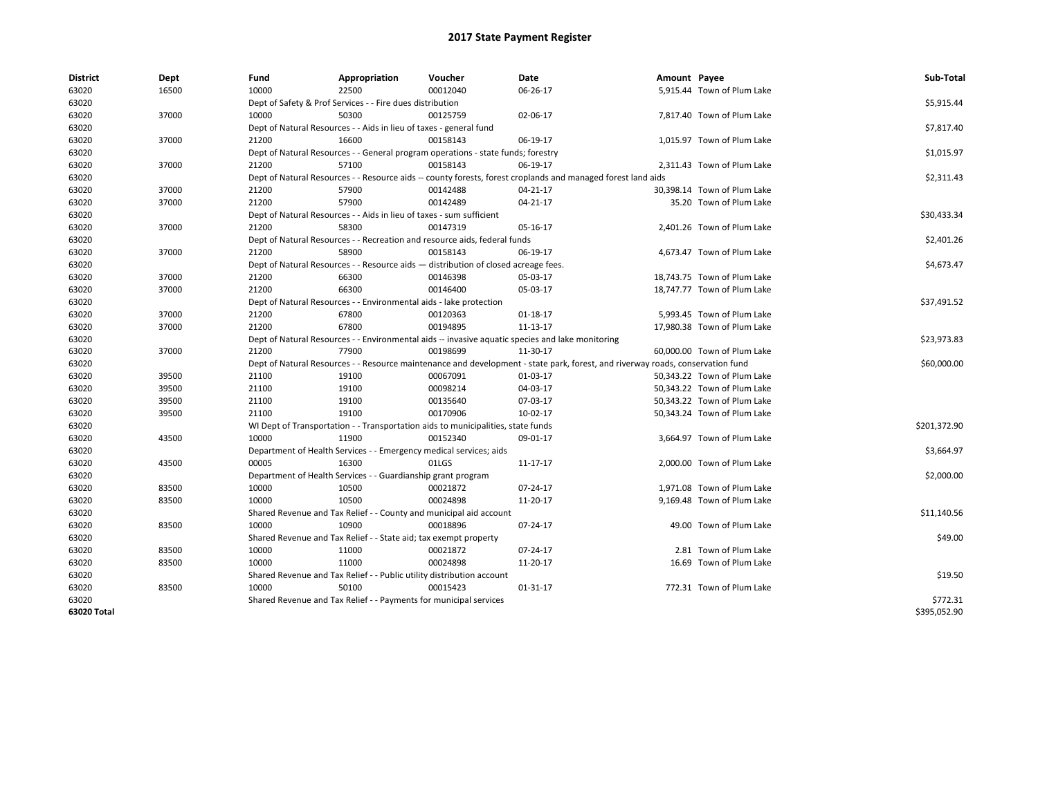| <b>District</b> | Dept  | Fund  | Appropriation                                                                      | Voucher  | Date                                                                                                                           | Amount Payee |                             | Sub-Total    |
|-----------------|-------|-------|------------------------------------------------------------------------------------|----------|--------------------------------------------------------------------------------------------------------------------------------|--------------|-----------------------------|--------------|
| 63020           | 16500 | 10000 | 22500                                                                              | 00012040 | 06-26-17                                                                                                                       |              | 5,915.44 Town of Plum Lake  |              |
| 63020           |       |       | Dept of Safety & Prof Services - - Fire dues distribution                          |          |                                                                                                                                |              |                             | \$5,915.44   |
| 63020           | 37000 | 10000 | 50300                                                                              | 00125759 | 02-06-17                                                                                                                       |              | 7,817.40 Town of Plum Lake  |              |
| 63020           |       |       | Dept of Natural Resources - - Aids in lieu of taxes - general fund                 |          |                                                                                                                                |              |                             | \$7,817.40   |
| 63020           | 37000 | 21200 | 16600                                                                              | 00158143 | 06-19-17                                                                                                                       |              | 1,015.97 Town of Plum Lake  |              |
| 63020           |       |       | Dept of Natural Resources - - General program operations - state funds; forestry   |          |                                                                                                                                |              |                             | \$1,015.97   |
| 63020           | 37000 | 21200 | 57100                                                                              | 00158143 | 06-19-17                                                                                                                       |              | 2.311.43 Town of Plum Lake  |              |
| 63020           |       |       |                                                                                    |          | Dept of Natural Resources - - Resource aids -- county forests, forest croplands and managed forest land aids                   |              |                             | \$2,311.43   |
| 63020           | 37000 | 21200 | 57900                                                                              | 00142488 | 04-21-17                                                                                                                       |              | 30,398.14 Town of Plum Lake |              |
| 63020           | 37000 | 21200 | 57900                                                                              | 00142489 | 04-21-17                                                                                                                       |              | 35.20 Town of Plum Lake     |              |
| 63020           |       |       | Dept of Natural Resources - - Aids in lieu of taxes - sum sufficient               |          |                                                                                                                                |              |                             | \$30,433.34  |
| 63020           | 37000 | 21200 | 58300                                                                              | 00147319 | 05-16-17                                                                                                                       |              | 2,401.26 Town of Plum Lake  |              |
| 63020           |       |       | Dept of Natural Resources - - Recreation and resource aids, federal funds          |          |                                                                                                                                |              |                             | \$2,401.26   |
| 63020           | 37000 | 21200 | 58900                                                                              | 00158143 | 06-19-17                                                                                                                       |              | 4.673.47 Town of Plum Lake  |              |
| 63020           |       |       | Dept of Natural Resources - - Resource aids - distribution of closed acreage fees. |          |                                                                                                                                |              |                             | \$4,673.47   |
| 63020           | 37000 | 21200 | 66300                                                                              | 00146398 | 05-03-17                                                                                                                       |              | 18,743.75 Town of Plum Lake |              |
| 63020           | 37000 | 21200 | 66300                                                                              | 00146400 | 05-03-17                                                                                                                       |              | 18,747.77 Town of Plum Lake |              |
| 63020           |       |       | Dept of Natural Resources - - Environmental aids - lake protection                 |          |                                                                                                                                |              |                             | \$37,491.52  |
| 63020           | 37000 | 21200 | 67800                                                                              | 00120363 | 01-18-17                                                                                                                       |              | 5,993.45 Town of Plum Lake  |              |
| 63020           | 37000 | 21200 | 67800                                                                              | 00194895 | 11-13-17                                                                                                                       |              | 17,980.38 Town of Plum Lake |              |
| 63020           |       |       |                                                                                    |          | Dept of Natural Resources - - Environmental aids -- invasive aquatic species and lake monitoring                               |              |                             | \$23,973.83  |
| 63020           | 37000 | 21200 | 77900                                                                              | 00198699 | 11-30-17                                                                                                                       |              | 60,000.00 Town of Plum Lake |              |
| 63020           |       |       |                                                                                    |          | Dept of Natural Resources - - Resource maintenance and development - state park, forest, and riverway roads, conservation fund |              |                             | \$60,000.00  |
| 63020           | 39500 | 21100 | 19100                                                                              | 00067091 | 01-03-17                                                                                                                       |              | 50,343.22 Town of Plum Lake |              |
| 63020           | 39500 | 21100 | 19100                                                                              | 00098214 | 04-03-17                                                                                                                       |              | 50,343.22 Town of Plum Lake |              |
| 63020           | 39500 | 21100 | 19100                                                                              | 00135640 | 07-03-17                                                                                                                       |              | 50,343.22 Town of Plum Lake |              |
| 63020           | 39500 | 21100 | 19100                                                                              | 00170906 | 10-02-17                                                                                                                       |              | 50,343.24 Town of Plum Lake |              |
| 63020           |       |       | WI Dept of Transportation - - Transportation aids to municipalities, state funds   |          |                                                                                                                                |              |                             | \$201,372.90 |
| 63020           | 43500 | 10000 | 11900                                                                              | 00152340 | 09-01-17                                                                                                                       |              | 3,664.97 Town of Plum Lake  |              |
| 63020           |       |       | Department of Health Services - - Emergency medical services; aids                 |          |                                                                                                                                |              |                             | \$3,664.97   |
| 63020           | 43500 | 00005 | 16300                                                                              | 01LGS    | 11-17-17                                                                                                                       |              | 2,000.00 Town of Plum Lake  |              |
| 63020           |       |       | Department of Health Services - - Guardianship grant program                       |          |                                                                                                                                |              |                             | \$2,000.00   |
| 63020           | 83500 | 10000 | 10500                                                                              | 00021872 | 07-24-17                                                                                                                       |              | 1,971.08 Town of Plum Lake  |              |
| 63020           | 83500 | 10000 | 10500                                                                              | 00024898 | 11-20-17                                                                                                                       |              | 9,169.48 Town of Plum Lake  |              |
| 63020           |       |       | Shared Revenue and Tax Relief - - County and municipal aid account                 |          |                                                                                                                                |              |                             | \$11,140.56  |
| 63020           | 83500 | 10000 | 10900                                                                              | 00018896 | 07-24-17                                                                                                                       |              | 49.00 Town of Plum Lake     |              |
| 63020           |       |       | Shared Revenue and Tax Relief - - State aid; tax exempt property                   |          |                                                                                                                                |              |                             | \$49.00      |
| 63020           | 83500 | 10000 | 11000                                                                              | 00021872 | 07-24-17                                                                                                                       |              | 2.81 Town of Plum Lake      |              |
| 63020           | 83500 | 10000 | 11000                                                                              | 00024898 | 11-20-17                                                                                                                       |              | 16.69 Town of Plum Lake     |              |
| 63020           |       |       | Shared Revenue and Tax Relief - - Public utility distribution account              |          |                                                                                                                                |              |                             | \$19.50      |
|                 | 83500 | 10000 | 50100                                                                              | 00015423 |                                                                                                                                |              |                             |              |
| 63020           |       |       |                                                                                    |          | 01-31-17                                                                                                                       |              | 772.31 Town of Plum Lake    |              |
| 63020           |       |       | Shared Revenue and Tax Relief - - Payments for municipal services                  |          |                                                                                                                                |              |                             | \$772.31     |
| 63020 Total     |       |       |                                                                                    |          |                                                                                                                                |              |                             | \$395,052.90 |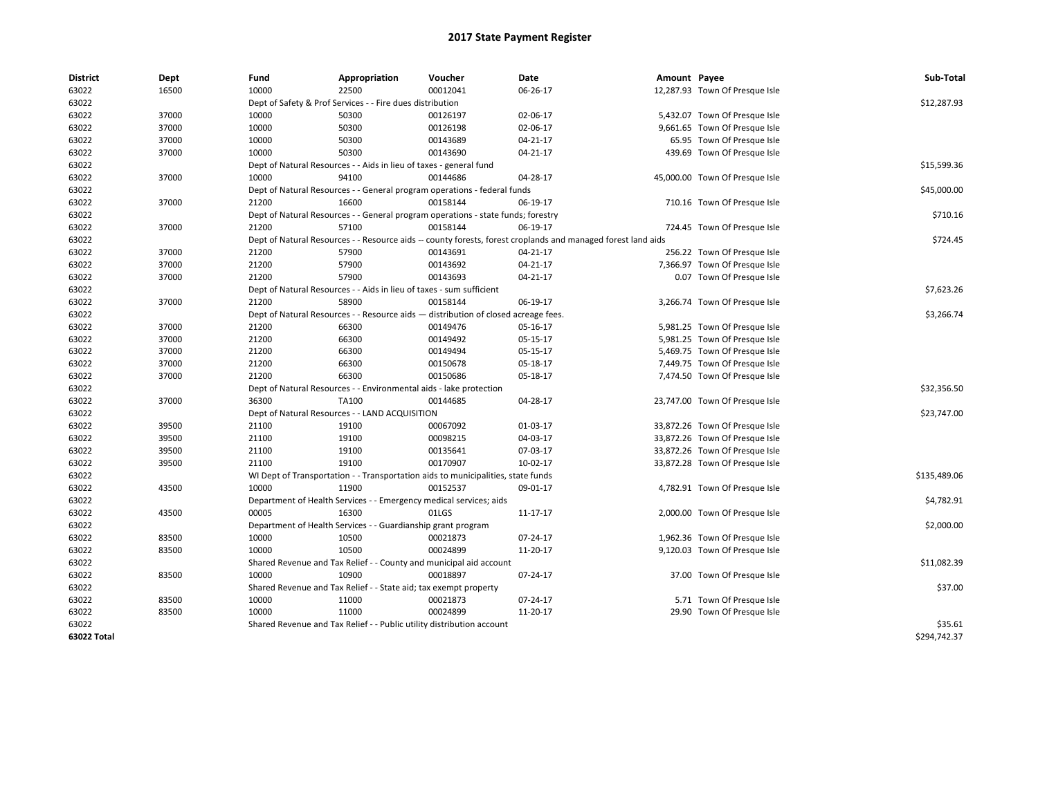| <b>District</b> | Dept  | Fund  | Appropriation                                                                      | Voucher  | Date                                                                                                         | Amount Payee |                                | Sub-Total    |
|-----------------|-------|-------|------------------------------------------------------------------------------------|----------|--------------------------------------------------------------------------------------------------------------|--------------|--------------------------------|--------------|
| 63022           | 16500 | 10000 | 22500                                                                              | 00012041 | 06-26-17                                                                                                     |              | 12,287.93 Town Of Presque Isle |              |
| 63022           |       |       | Dept of Safety & Prof Services - - Fire dues distribution                          |          |                                                                                                              |              |                                | \$12,287.93  |
| 63022           | 37000 | 10000 | 50300                                                                              | 00126197 | 02-06-17                                                                                                     |              | 5,432.07 Town Of Presque Isle  |              |
| 63022           | 37000 | 10000 | 50300                                                                              | 00126198 | 02-06-17                                                                                                     |              | 9,661.65 Town Of Presque Isle  |              |
| 63022           | 37000 | 10000 | 50300                                                                              | 00143689 | 04-21-17                                                                                                     |              | 65.95 Town Of Presque Isle     |              |
| 63022           | 37000 | 10000 | 50300                                                                              | 00143690 | 04-21-17                                                                                                     |              | 439.69 Town Of Presque Isle    |              |
| 63022           |       |       | Dept of Natural Resources - - Aids in lieu of taxes - general fund                 |          |                                                                                                              |              |                                | \$15,599.36  |
| 63022           | 37000 | 10000 | 94100                                                                              | 00144686 | 04-28-17                                                                                                     |              | 45,000.00 Town Of Presque Isle |              |
| 63022           |       |       | Dept of Natural Resources - - General program operations - federal funds           |          |                                                                                                              |              |                                | \$45,000.00  |
| 63022           | 37000 | 21200 | 16600                                                                              | 00158144 | 06-19-17                                                                                                     |              | 710.16 Town Of Presque Isle    |              |
| 63022           |       |       | Dept of Natural Resources - - General program operations - state funds; forestry   |          |                                                                                                              |              |                                | \$710.16     |
| 63022           | 37000 | 21200 | 57100                                                                              | 00158144 | 06-19-17                                                                                                     |              | 724.45 Town Of Presque Isle    |              |
| 63022           |       |       |                                                                                    |          | Dept of Natural Resources - - Resource aids -- county forests, forest croplands and managed forest land aids |              |                                | \$724.45     |
| 63022           | 37000 | 21200 | 57900                                                                              | 00143691 | 04-21-17                                                                                                     |              | 256.22 Town Of Presque Isle    |              |
| 63022           | 37000 | 21200 | 57900                                                                              | 00143692 | 04-21-17                                                                                                     |              | 7,366.97 Town Of Presque Isle  |              |
| 63022           | 37000 | 21200 | 57900                                                                              | 00143693 | 04-21-17                                                                                                     |              | 0.07 Town Of Presque Isle      |              |
| 63022           |       |       | Dept of Natural Resources - - Aids in lieu of taxes - sum sufficient               |          |                                                                                                              |              |                                | \$7,623.26   |
| 63022           | 37000 | 21200 | 58900                                                                              | 00158144 | 06-19-17                                                                                                     |              | 3,266.74 Town Of Presque Isle  |              |
| 63022           |       |       | Dept of Natural Resources - - Resource aids - distribution of closed acreage fees. |          |                                                                                                              |              |                                | \$3,266.74   |
| 63022           | 37000 | 21200 | 66300                                                                              | 00149476 | 05-16-17                                                                                                     |              | 5,981.25 Town Of Presque Isle  |              |
| 63022           | 37000 | 21200 | 66300                                                                              | 00149492 | 05-15-17                                                                                                     |              | 5,981.25 Town Of Presque Isle  |              |
| 63022           | 37000 | 21200 | 66300                                                                              | 00149494 | 05-15-17                                                                                                     |              | 5,469.75 Town Of Presque Isle  |              |
| 63022           | 37000 | 21200 | 66300                                                                              | 00150678 | 05-18-17                                                                                                     |              | 7,449.75 Town Of Presque Isle  |              |
| 63022           | 37000 | 21200 | 66300                                                                              | 00150686 | 05-18-17                                                                                                     |              | 7,474.50 Town Of Presque Isle  |              |
| 63022           |       |       | Dept of Natural Resources - - Environmental aids - lake protection                 |          |                                                                                                              |              |                                | \$32,356.50  |
| 63022           | 37000 | 36300 | TA100                                                                              | 00144685 | 04-28-17                                                                                                     |              | 23,747.00 Town Of Presque Isle |              |
| 63022           |       |       | Dept of Natural Resources - - LAND ACQUISITION                                     |          |                                                                                                              |              |                                | \$23,747.00  |
| 63022           | 39500 | 21100 | 19100                                                                              | 00067092 | 01-03-17                                                                                                     |              | 33,872.26 Town Of Presque Isle |              |
| 63022           | 39500 | 21100 | 19100                                                                              | 00098215 | 04-03-17                                                                                                     |              | 33,872.26 Town Of Presque Isle |              |
| 63022           | 39500 | 21100 | 19100                                                                              | 00135641 | 07-03-17                                                                                                     |              | 33,872.26 Town Of Presque Isle |              |
| 63022           | 39500 | 21100 | 19100                                                                              | 00170907 | 10-02-17                                                                                                     |              | 33,872.28 Town Of Presque Isle |              |
| 63022           |       |       | WI Dept of Transportation - - Transportation aids to municipalities, state funds   |          |                                                                                                              |              |                                | \$135,489.06 |
| 63022           | 43500 | 10000 | 11900                                                                              | 00152537 | 09-01-17                                                                                                     |              | 4,782.91 Town Of Presque Isle  |              |
| 63022           |       |       | Department of Health Services - - Emergency medical services; aids                 |          |                                                                                                              |              |                                | \$4,782.91   |
| 63022           | 43500 | 00005 | 16300                                                                              | 01LGS    | 11-17-17                                                                                                     |              | 2,000.00 Town Of Presque Isle  |              |
| 63022           |       |       | Department of Health Services - - Guardianship grant program                       |          |                                                                                                              |              |                                | \$2,000.00   |
| 63022           | 83500 | 10000 | 10500                                                                              | 00021873 | 07-24-17                                                                                                     |              | 1,962.36 Town Of Presque Isle  |              |
| 63022           | 83500 | 10000 | 10500                                                                              | 00024899 | 11-20-17                                                                                                     |              | 9,120.03 Town Of Presque Isle  |              |
| 63022           |       |       | Shared Revenue and Tax Relief - - County and municipal aid account                 |          |                                                                                                              |              |                                | \$11,082.39  |
| 63022           | 83500 | 10000 | 10900                                                                              | 00018897 | 07-24-17                                                                                                     |              | 37.00 Town Of Presque Isle     |              |
| 63022           |       |       | Shared Revenue and Tax Relief - - State aid; tax exempt property                   |          |                                                                                                              |              |                                | \$37.00      |
| 63022           | 83500 | 10000 | 11000                                                                              | 00021873 | 07-24-17                                                                                                     |              | 5.71 Town Of Presque Isle      |              |
| 63022           | 83500 | 10000 | 11000                                                                              | 00024899 | 11-20-17                                                                                                     |              | 29.90 Town Of Presque Isle     |              |
| 63022           |       |       | Shared Revenue and Tax Relief - - Public utility distribution account              |          |                                                                                                              |              |                                | \$35.61      |
| 63022 Total     |       |       |                                                                                    |          |                                                                                                              |              |                                | \$294,742.37 |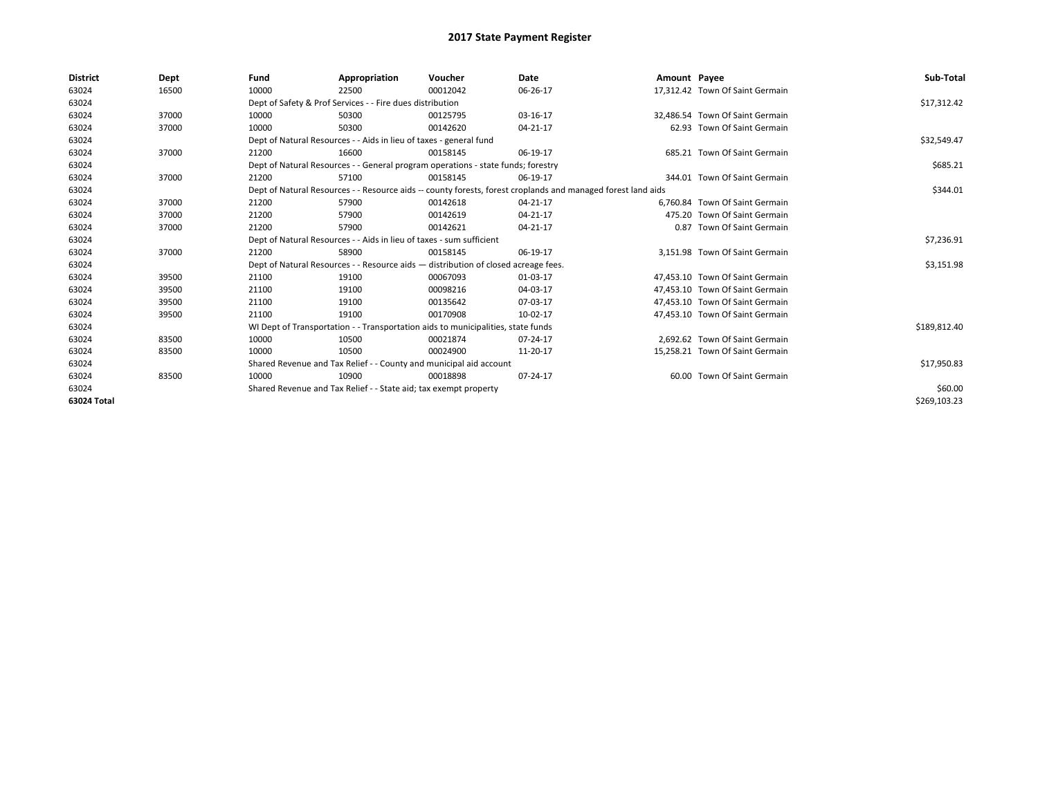| <b>District</b> | Dept  | Fund  | Appropriation                                                                                                | Voucher  | Date     | Amount Payee |                                 | Sub-Total    |  |  |  |
|-----------------|-------|-------|--------------------------------------------------------------------------------------------------------------|----------|----------|--------------|---------------------------------|--------------|--|--|--|
| 63024           | 16500 | 10000 | 22500                                                                                                        | 00012042 | 06-26-17 |              | 17,312.42 Town Of Saint Germain |              |  |  |  |
| 63024           |       |       | Dept of Safety & Prof Services - - Fire dues distribution                                                    |          |          |              |                                 |              |  |  |  |
| 63024           | 37000 | 10000 | 50300                                                                                                        | 00125795 | 03-16-17 |              | 32.486.54 Town Of Saint Germain |              |  |  |  |
| 63024           | 37000 | 10000 | 50300                                                                                                        | 00142620 | 04-21-17 |              | 62.93 Town Of Saint Germain     |              |  |  |  |
| 63024           |       |       | Dept of Natural Resources - - Aids in lieu of taxes - general fund                                           |          |          |              |                                 | \$32,549.47  |  |  |  |
| 63024           | 37000 | 21200 | 16600                                                                                                        | 00158145 | 06-19-17 |              | 685.21 Town Of Saint Germain    |              |  |  |  |
| 63024           |       |       | Dept of Natural Resources - - General program operations - state funds; forestry                             |          |          |              |                                 | \$685.21     |  |  |  |
| 63024           | 37000 | 21200 | 57100                                                                                                        | 00158145 | 06-19-17 |              | 344.01 Town Of Saint Germain    |              |  |  |  |
| 63024           |       |       | Dept of Natural Resources - - Resource aids -- county forests, forest croplands and managed forest land aids |          |          |              |                                 | \$344.01     |  |  |  |
| 63024           | 37000 | 21200 | 57900                                                                                                        | 00142618 | 04-21-17 |              | 6.760.84 Town Of Saint Germain  |              |  |  |  |
| 63024           | 37000 | 21200 | 57900                                                                                                        | 00142619 | 04-21-17 |              | 475.20 Town Of Saint Germain    |              |  |  |  |
| 63024           | 37000 | 21200 | 57900                                                                                                        | 00142621 | 04-21-17 |              | 0.87 Town Of Saint Germain      |              |  |  |  |
| 63024           |       |       | Dept of Natural Resources - - Aids in lieu of taxes - sum sufficient                                         |          |          |              |                                 | \$7,236.91   |  |  |  |
| 63024           | 37000 | 21200 | 58900                                                                                                        | 00158145 | 06-19-17 |              | 3,151.98 Town Of Saint Germain  |              |  |  |  |
| 63024           |       |       | Dept of Natural Resources - - Resource aids - distribution of closed acreage fees.                           |          |          |              |                                 | \$3,151.98   |  |  |  |
| 63024           | 39500 | 21100 | 19100                                                                                                        | 00067093 | 01-03-17 |              | 47.453.10 Town Of Saint Germain |              |  |  |  |
| 63024           | 39500 | 21100 | 19100                                                                                                        | 00098216 | 04-03-17 |              | 47.453.10 Town Of Saint Germain |              |  |  |  |
| 63024           | 39500 | 21100 | 19100                                                                                                        | 00135642 | 07-03-17 |              | 47.453.10 Town Of Saint Germain |              |  |  |  |
| 63024           | 39500 | 21100 | 19100                                                                                                        | 00170908 | 10-02-17 |              | 47,453.10 Town Of Saint Germain |              |  |  |  |
| 63024           |       |       | WI Dept of Transportation - - Transportation aids to municipalities, state funds                             |          |          |              |                                 | \$189,812.40 |  |  |  |
| 63024           | 83500 | 10000 | 10500                                                                                                        | 00021874 | 07-24-17 |              | 2.692.62 Town Of Saint Germain  |              |  |  |  |
| 63024           | 83500 | 10000 | 10500                                                                                                        | 00024900 | 11-20-17 |              | 15,258.21 Town Of Saint Germain |              |  |  |  |
| 63024           |       |       | Shared Revenue and Tax Relief - - County and municipal aid account                                           |          |          |              |                                 | \$17,950.83  |  |  |  |
| 63024           | 83500 | 10000 | 10900                                                                                                        | 00018898 | 07-24-17 |              | 60.00 Town Of Saint Germain     |              |  |  |  |
| 63024           |       |       | Shared Revenue and Tax Relief - - State aid; tax exempt property                                             |          |          |              |                                 | \$60.00      |  |  |  |
| 63024 Total     |       |       |                                                                                                              |          |          |              |                                 | \$269,103.23 |  |  |  |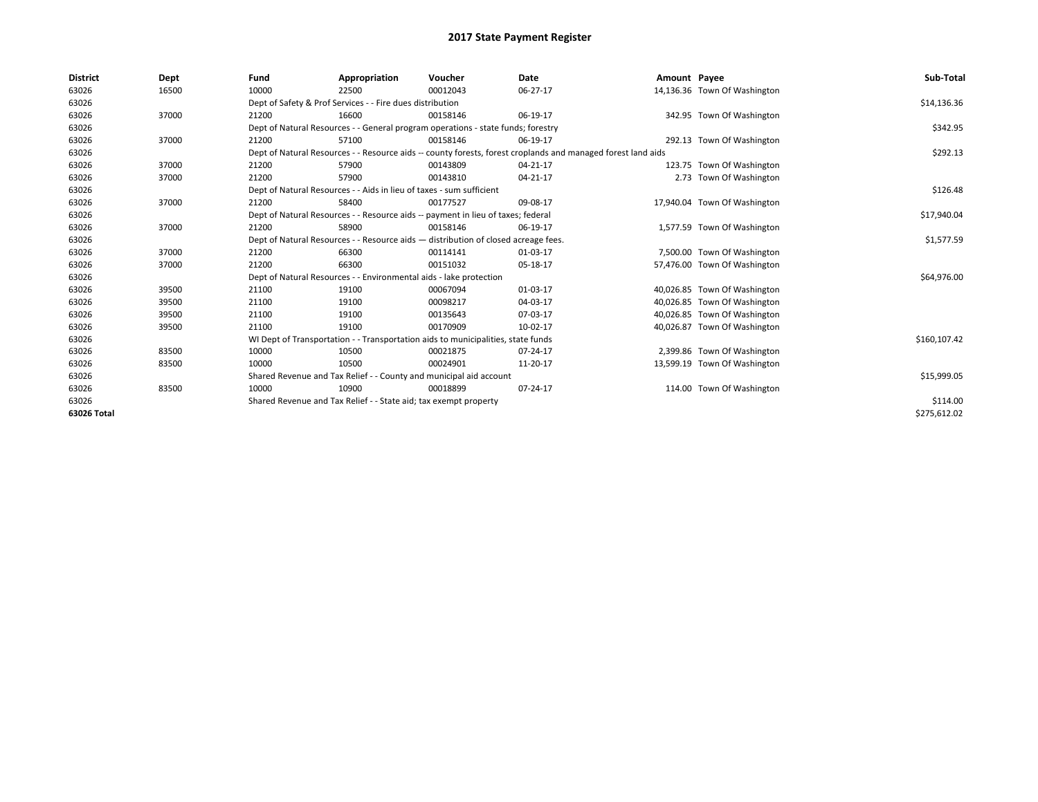| <b>District</b> | Dept  | Fund  | Appropriation                                                                                                | Voucher  | Date     | Amount Payee |                              | Sub-Total    |  |  |  |
|-----------------|-------|-------|--------------------------------------------------------------------------------------------------------------|----------|----------|--------------|------------------------------|--------------|--|--|--|
| 63026           | 16500 | 10000 | 22500                                                                                                        | 00012043 | 06-27-17 |              | 14,136.36 Town Of Washington |              |  |  |  |
| 63026           |       |       | Dept of Safety & Prof Services - - Fire dues distribution                                                    |          |          |              |                              |              |  |  |  |
| 63026           | 37000 | 21200 | 16600                                                                                                        | 00158146 | 06-19-17 |              | 342.95 Town Of Washington    |              |  |  |  |
| 63026           |       |       | Dept of Natural Resources - - General program operations - state funds; forestry                             |          |          |              |                              | \$342.95     |  |  |  |
| 63026           | 37000 | 21200 | 57100                                                                                                        | 00158146 | 06-19-17 |              | 292.13 Town Of Washington    |              |  |  |  |
| 63026           |       |       | Dept of Natural Resources - - Resource aids -- county forests, forest croplands and managed forest land aids |          |          |              |                              | \$292.13     |  |  |  |
| 63026           | 37000 | 21200 | 57900                                                                                                        | 00143809 | 04-21-17 |              | 123.75 Town Of Washington    |              |  |  |  |
| 63026           | 37000 | 21200 | 57900                                                                                                        | 00143810 | 04-21-17 |              | 2.73 Town Of Washington      |              |  |  |  |
| 63026           |       |       | Dept of Natural Resources - - Aids in lieu of taxes - sum sufficient                                         |          |          |              |                              | \$126.48     |  |  |  |
| 63026           | 37000 | 21200 | 58400                                                                                                        | 00177527 | 09-08-17 |              | 17,940.04 Town Of Washington |              |  |  |  |
| 63026           |       |       | Dept of Natural Resources - - Resource aids -- payment in lieu of taxes; federal                             |          |          |              |                              | \$17,940.04  |  |  |  |
| 63026           | 37000 | 21200 | 58900                                                                                                        | 00158146 | 06-19-17 |              | 1,577.59 Town Of Washington  |              |  |  |  |
| 63026           |       |       | Dept of Natural Resources - - Resource aids - distribution of closed acreage fees.                           |          |          |              |                              | \$1,577.59   |  |  |  |
| 63026           | 37000 | 21200 | 66300                                                                                                        | 00114141 | 01-03-17 |              | 7,500.00 Town Of Washington  |              |  |  |  |
| 63026           | 37000 | 21200 | 66300                                                                                                        | 00151032 | 05-18-17 |              | 57,476.00 Town Of Washington |              |  |  |  |
| 63026           |       |       | Dept of Natural Resources - - Environmental aids - lake protection                                           |          |          |              |                              | \$64,976.00  |  |  |  |
| 63026           | 39500 | 21100 | 19100                                                                                                        | 00067094 | 01-03-17 |              | 40,026.85 Town Of Washington |              |  |  |  |
| 63026           | 39500 | 21100 | 19100                                                                                                        | 00098217 | 04-03-17 |              | 40,026.85 Town Of Washington |              |  |  |  |
| 63026           | 39500 | 21100 | 19100                                                                                                        | 00135643 | 07-03-17 |              | 40,026.85 Town Of Washington |              |  |  |  |
| 63026           | 39500 | 21100 | 19100                                                                                                        | 00170909 | 10-02-17 |              | 40,026.87 Town Of Washington |              |  |  |  |
| 63026           |       |       | WI Dept of Transportation - - Transportation aids to municipalities, state funds                             |          |          |              |                              | \$160,107.42 |  |  |  |
| 63026           | 83500 | 10000 | 10500                                                                                                        | 00021875 | 07-24-17 |              | 2,399.86 Town Of Washington  |              |  |  |  |
| 63026           | 83500 | 10000 | 10500                                                                                                        | 00024901 | 11-20-17 |              | 13,599.19 Town Of Washington |              |  |  |  |
| 63026           |       |       | Shared Revenue and Tax Relief - - County and municipal aid account                                           |          |          |              |                              | \$15,999.05  |  |  |  |
| 63026           | 83500 | 10000 | 10900                                                                                                        | 00018899 | 07-24-17 |              | 114.00 Town Of Washington    |              |  |  |  |
| 63026           |       |       | Shared Revenue and Tax Relief - - State aid; tax exempt property                                             |          |          |              |                              | \$114.00     |  |  |  |
| 63026 Total     |       |       |                                                                                                              |          |          |              |                              | \$275,612.02 |  |  |  |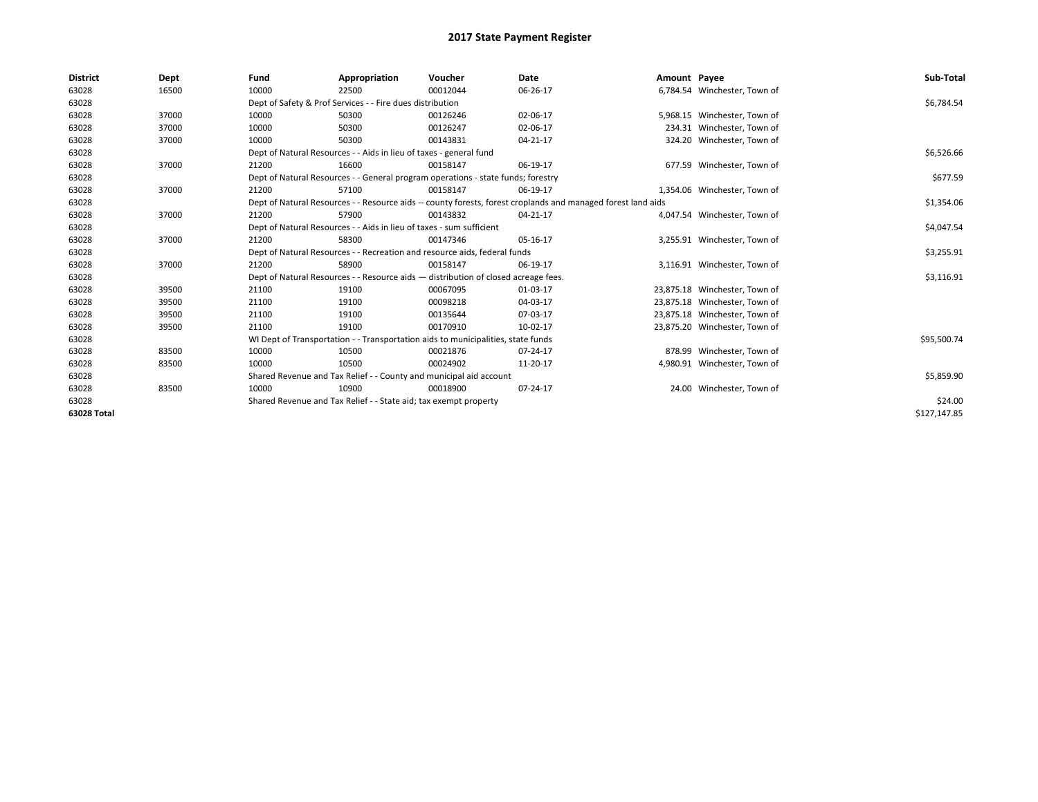| <b>District</b> | Dept  | Fund  | Appropriation                                                                      | Voucher  | Date                                                                                                         | Amount Payee |                               | Sub-Total    |
|-----------------|-------|-------|------------------------------------------------------------------------------------|----------|--------------------------------------------------------------------------------------------------------------|--------------|-------------------------------|--------------|
| 63028           | 16500 | 10000 | 22500                                                                              | 00012044 | 06-26-17                                                                                                     |              | 6,784.54 Winchester, Town of  |              |
| 63028           |       |       | Dept of Safety & Prof Services - - Fire dues distribution                          |          |                                                                                                              |              |                               | \$6,784.54   |
| 63028           | 37000 | 10000 | 50300                                                                              | 00126246 | 02-06-17                                                                                                     |              | 5,968.15 Winchester, Town of  |              |
| 63028           | 37000 | 10000 | 50300                                                                              | 00126247 | 02-06-17                                                                                                     |              | 234.31 Winchester, Town of    |              |
| 63028           | 37000 | 10000 | 50300                                                                              | 00143831 | 04-21-17                                                                                                     |              | 324.20 Winchester, Town of    |              |
| 63028           |       |       | Dept of Natural Resources - - Aids in lieu of taxes - general fund                 |          |                                                                                                              |              |                               | \$6,526.66   |
| 63028           | 37000 | 21200 | 16600                                                                              | 00158147 | 06-19-17                                                                                                     |              | 677.59 Winchester, Town of    |              |
| 63028           |       |       | Dept of Natural Resources - - General program operations - state funds; forestry   |          |                                                                                                              |              |                               | \$677.59     |
| 63028           | 37000 | 21200 | 57100                                                                              | 00158147 | 06-19-17                                                                                                     |              | 1,354.06 Winchester, Town of  |              |
| 63028           |       |       |                                                                                    |          | Dept of Natural Resources - - Resource aids -- county forests, forest croplands and managed forest land aids |              |                               | \$1,354.06   |
| 63028           | 37000 | 21200 | 57900                                                                              | 00143832 | 04-21-17                                                                                                     |              | 4,047.54 Winchester, Town of  |              |
| 63028           |       |       | Dept of Natural Resources - - Aids in lieu of taxes - sum sufficient               |          |                                                                                                              |              |                               | \$4,047.54   |
| 63028           | 37000 | 21200 | 58300                                                                              | 00147346 | 05-16-17                                                                                                     |              | 3,255.91 Winchester, Town of  |              |
| 63028           |       |       | Dept of Natural Resources - - Recreation and resource aids, federal funds          |          |                                                                                                              |              |                               | \$3,255.91   |
| 63028           | 37000 | 21200 | 58900                                                                              | 00158147 | 06-19-17                                                                                                     |              | 3,116.91 Winchester, Town of  |              |
| 63028           |       |       | Dept of Natural Resources - - Resource aids - distribution of closed acreage fees. |          |                                                                                                              |              |                               | \$3,116.91   |
| 63028           | 39500 | 21100 | 19100                                                                              | 00067095 | 01-03-17                                                                                                     |              | 23,875.18 Winchester, Town of |              |
| 63028           | 39500 | 21100 | 19100                                                                              | 00098218 | 04-03-17                                                                                                     |              | 23,875.18 Winchester, Town of |              |
| 63028           | 39500 | 21100 | 19100                                                                              | 00135644 | 07-03-17                                                                                                     |              | 23,875.18 Winchester, Town of |              |
| 63028           | 39500 | 21100 | 19100                                                                              | 00170910 | 10-02-17                                                                                                     |              | 23,875.20 Winchester, Town of |              |
| 63028           |       |       | WI Dept of Transportation - - Transportation aids to municipalities, state funds   |          |                                                                                                              |              |                               | \$95,500.74  |
| 63028           | 83500 | 10000 | 10500                                                                              | 00021876 | 07-24-17                                                                                                     |              | 878.99 Winchester, Town of    |              |
| 63028           | 83500 | 10000 | 10500                                                                              | 00024902 | 11-20-17                                                                                                     |              | 4,980.91 Winchester, Town of  |              |
| 63028           |       |       | Shared Revenue and Tax Relief - - County and municipal aid account                 |          |                                                                                                              |              |                               | \$5,859.90   |
| 63028           | 83500 | 10000 | 10900                                                                              | 00018900 | 07-24-17                                                                                                     |              | 24.00 Winchester, Town of     |              |
| 63028           |       |       | Shared Revenue and Tax Relief - - State aid; tax exempt property                   |          |                                                                                                              |              |                               | \$24.00      |
| 63028 Total     |       |       |                                                                                    |          |                                                                                                              |              |                               | \$127,147.85 |